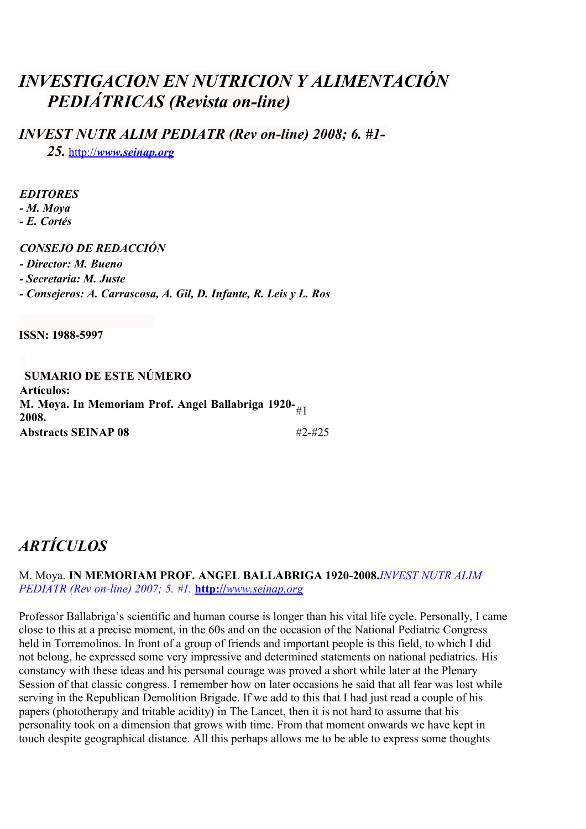# *INVESTIGACION EN NUTRICION Y ALIMENTACIÓN PEDIÁTRICAS (Revista on-line)*

*INVEST NUTR ALIM PEDIATR (Rev on-line) 2008; 6. #1-*

*25.*http://*[www.seinap.org](http://www.seinap.org/)*

#### *EDITORES*

*- M. Moya*

*- E. Cortés*

# *CONSEJO DE REDACCIÓN*

*- Director: M. Bueno*

*- Secretaria: M. Juste*

*- Consejeros: A. Carrascosa, A. Gil, D. Infante, R. Leis y L. Ros*

**ISSN: 1988-5997**

 **SUMARIO DE ESTE NÚMERO Artículos:** M. Moya. In Memoriam Prof. Angel Ballabriga 1920-<sub>#1</sub><br>2008. **Abstracts SEINAP 08** #2-#25

# *ARTÍCULOS*

#### M. Moya. **IN MEMORIAM PROF. ANGEL BALLABRIGA 1920-2008.***INVEST NUTR ALIM PEDIATR (Rev on-line) 2007; 5. #1.* **http://** *[www.seinap.org](http://www.seinap.org/)*

Professor Ballabriga's scientific and human course is longer than his vital life cycle. Personally, I came close to this at a precise moment, in the 60s and on the occasion of the National Pediatric Congress held in Torremolinos. In front of a group of friends and important people is this field, to which I did not belong, he expressed some very impressive and determined statements on national pediatrics. His constancy with these ideas and his personal courage was proved a short while later at the Plenary Session of that classic congress. I remember how on later occasions he said that all fear was lost while serving in the Republican Demolition Brigade. If we add to this that I had just read a couple of his papers (phototherapy and tritable acidity) in The Lancet, then it is not hard to assume that his personality took on a dimension that grows with time. From that moment onwards we have kept in touch despite geographical distance. All this perhaps allows me to be able to express some thoughts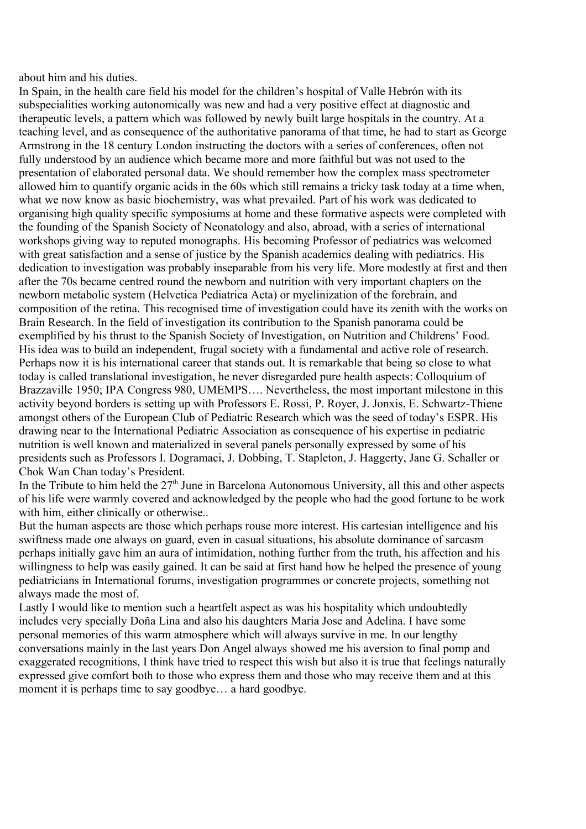about him and his duties.

In Spain, in the health care field his model for the children's hospital of Valle Hebrón with its subspecialities working autonomically was new and had a very positive effect at diagnostic and therapeutic levels, a pattern which was followed by newly built large hospitals in the country. At a teaching level, and as consequence of the authoritative panorama of that time, he had to start as George Armstrong in the 18 century London instructing the doctors with a series of conferences, often not fully understood by an audience which became more and more faithful but was not used to the presentation of elaborated personal data. We should remember how the complex mass spectrometer allowed him to quantify organic acids in the 60s which still remains a tricky task today at a time when, what we now know as basic biochemistry, was what prevailed. Part of his work was dedicated to organising high quality specific symposiums at home and these formative aspects were completed with the founding of the Spanish Society of Neonatology and also, abroad, with a series of international workshops giving way to reputed monographs. His becoming Professor of pediatrics was welcomed with great satisfaction and a sense of justice by the Spanish academics dealing with pediatrics. His dedication to investigation was probably inseparable from his very life. More modestly at first and then after the 70s became centred round the newborn and nutrition with very important chapters on the newborn metabolic system (Helvetica Pediatrica Acta) or myelinization of the forebrain, and composition of the retina. This recognised time of investigation could have its zenith with the works on Brain Research. In the field of investigation its contribution to the Spanish panorama could be exemplified by his thrust to the Spanish Society of Investigation, on Nutrition and Childrens' Food. His idea was to build an independent, frugal society with a fundamental and active role of research. Perhaps now it is his international career that stands out. It is remarkable that being so close to what today is called translational investigation, he never disregarded pure health aspects: Colloquium of Brazzaville 1950; IPA Congress 980, UMEMPS…. Nevertheless, the most important milestone in this activity beyond borders is setting up with Professors E. Rossi, P. Royer, J. Jonxis, E. Schwartz-Thiene amongst others of the European Club of Pediatric Research which was the seed of today's ESPR. His drawing near to the International Pediatric Association as consequence of his expertise in pediatric nutrition is well known and materialized in several panels personally expressed by some of his presidents such as Professors I. Dogramaci, J. Dobbing, T. Stapleton, J. Haggerty, Jane G. Schaller or Chok Wan Chan today's President.

In the Tribute to him held the  $27<sup>th</sup>$  June in Barcelona Autonomous University, all this and other aspects of his life were warmly covered and acknowledged by the people who had the good fortune to be work with him, either clinically or otherwise...

But the human aspects are those which perhaps rouse more interest. His cartesian intelligence and his swiftness made one always on guard, even in casual situations, his absolute dominance of sarcasm perhaps initially gave him an aura of intimidation, nothing further from the truth, his affection and his willingness to help was easily gained. It can be said at first hand how he helped the presence of young pediatricians in International forums, investigation programmes or concrete projects, something not always made the most of.

Lastly I would like to mention such a heartfelt aspect as was his hospitality which undoubtedly includes very specially Doña Lina and also his daughters Maria Jose and Adelina. I have some personal memories of this warm atmosphere which will always survive in me. In our lengthy conversations mainly in the last years Don Angel always showed me his aversion to final pomp and exaggerated recognitions, I think have tried to respect this wish but also it is true that feelings naturally expressed give comfort both to those who express them and those who may receive them and at this moment it is perhaps time to say goodbye… a hard goodbye.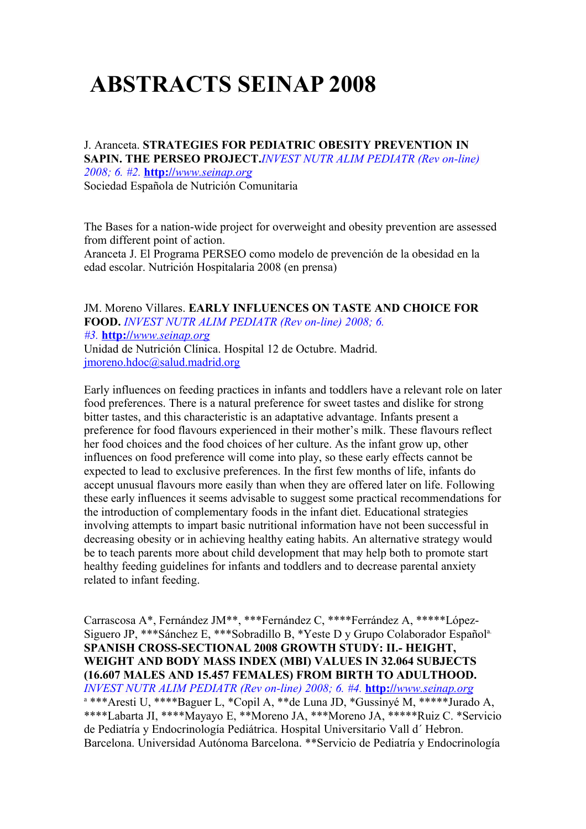# **ABSTRACTS SEINAP 2008**

J. Aranceta. **STRATEGIES FOR PEDIATRIC OBESITY PREVENTION IN SAPIN. THE PERSEO PROJECT.***INVEST NUTR ALIM PEDIATR (Rev on-line) 2008; 6. #2.* **http://** *[www.seinap.org](http://www.seinap.org/)* Sociedad Española de Nutrición Comunitaria

The Bases for a nation-wide project for overweight and obesity prevention are assessed from different point of action.

Aranceta J. El Programa PERSEO como modelo de prevención de la obesidad en la edad escolar. Nutrición Hospitalaria 2008 (en prensa)

JM. Moreno Villares. **EARLY INFLUENCES ON TASTE AND CHOICE FOR FOOD.** *INVEST NUTR ALIM PEDIATR (Rev on-line) 2008; 6. #3.* **http://** *[www.seinap.org](http://www.seinap.org/)* Unidad de Nutrición Clínica. Hospital 12 de Octubre. Madrid. [jmoreno.hdoc@salud.madrid.org](mailto:jmoreno.hdoc@salud.madrid.org)

Early influences on feeding practices in infants and toddlers have a relevant role on later food preferences. There is a natural preference for sweet tastes and dislike for strong bitter tastes, and this characteristic is an adaptative advantage. Infants present a preference for food flavours experienced in their mother's milk. These flavours reflect her food choices and the food choices of her culture. As the infant grow up, other influences on food preference will come into play, so these early effects cannot be expected to lead to exclusive preferences. In the first few months of life, infants do accept unusual flavours more easily than when they are offered later on life. Following these early influences it seems advisable to suggest some practical recommendations for the introduction of complementary foods in the infant diet. Educational strategies involving attempts to impart basic nutritional information have not been successful in decreasing obesity or in achieving healthy eating habits. An alternative strategy would be to teach parents more about child development that may help both to promote start healthy feeding guidelines for infants and toddlers and to decrease parental anxiety related to infant feeding.

Carrascosa A\*, Fernández JM\*\*, \*\*\*Fernández C, \*\*\*\*Ferrández A, \*\*\*\*\*López-Siguero JP, \*\*\*Sánchez E, \*\*\*Sobradillo B, \*Yeste D y Grupo Colaborador Español<sup>a.</sup> **SPANISH CROSS-SECTIONAL 2008 GROWTH STUDY: II.- HEIGHT, WEIGHT AND BODY MASS INDEX (MBI) VALUES IN 32.064 SUBJECTS (16.607 MALES AND 15.457 FEMALES) FROM BIRTH TO ADULTHOOD.** *INVEST NUTR ALIM PEDIATR (Rev on-line) 2008; 6. #4.* **http://** *[www.seinap.org](http://www.seinap.org/)* a \*\*\*Aresti U, \*\*\*\*Baguer L, \*Copil A, \*\*de Luna JD, \*Gussinyé M, \*\*\*\*\*Jurado A, \*\*\*\*Labarta JI, \*\*\*\*Mayayo E, \*\*Moreno JA, \*\*\*Moreno JA, \*\*\*\*\*Ruiz C. \*Servicio de Pediatría y Endocrinología Pediátrica. Hospital Universitario Vall d´ Hebron. Barcelona. Universidad Autónoma Barcelona. \*\*Servicio de Pediatría y Endocrinología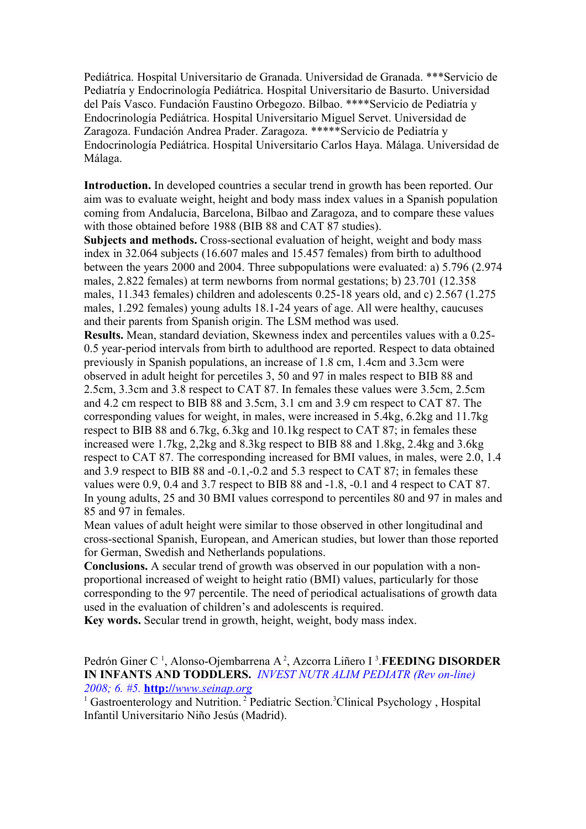Pediátrica. Hospital Universitario de Granada. Universidad de Granada. \*\*\*Servicio de Pediatría y Endocrinología Pediátrica. Hospital Universitario de Basurto. Universidad del País Vasco. Fundación Faustino Orbegozo. Bilbao. \*\*\*\*Servicio de Pediatría y Endocrinología Pediátrica. Hospital Universitario Miguel Servet. Universidad de Zaragoza. Fundación Andrea Prader. Zaragoza. \*\*\*\*\*Servicio de Pediatría y Endocrinología Pediátrica. Hospital Universitario Carlos Haya. Málaga. Universidad de Málaga.

**Introduction.** In developed countries a secular trend in growth has been reported. Our aim was to evaluate weight, height and body mass index values in a Spanish population coming from Andalucia, Barcelona, Bilbao and Zaragoza, and to compare these values with those obtained before 1988 (BIB 88 and CAT 87 studies).

**Subjects and methods.** Cross-sectional evaluation of height, weight and body mass index in 32.064 subjects (16.607 males and 15.457 females) from birth to adulthood between the years 2000 and 2004. Three subpopulations were evaluated: a) 5.796 (2.974 males, 2.822 females) at term newborns from normal gestations; b) 23.701 (12.358 males, 11.343 females) children and adolescents 0.25-18 years old, and c) 2.567 (1.275 males, 1.292 females) young adults 18.1-24 years of age. All were healthy, caucuses and their parents from Spanish origin. The LSM method was used.

**Results.** Mean, standard deviation, Skewness index and percentiles values with a 0.25- 0.5 year-period intervals from birth to adulthood are reported. Respect to data obtained previously in Spanish populations, an increase of 1.8 cm, 1.4cm and 3.3cm were observed in adult height for percetiles 3, 50 and 97 in males respect to BIB 88 and 2.5cm, 3.3cm and 3.8 respect to CAT 87. In females these values were 3.5cm, 2.5cm and 4.2 cm respect to BIB 88 and 3.5cm, 3.1 cm and 3.9 cm respect to CAT 87. The corresponding values for weight, in males, were increased in 5.4kg, 6.2kg and 11.7kg respect to BIB 88 and 6.7kg, 6.3kg and 10.1kg respect to CAT 87; in females these increased were 1.7kg, 2,2kg and 8.3kg respect to BIB 88 and 1.8kg, 2.4kg and 3.6kg respect to CAT 87. The corresponding increased for BMI values, in males, were 2.0, 1.4 and 3.9 respect to BIB 88 and -0.1,-0.2 and 5.3 respect to CAT 87; in females these values were 0.9, 0.4 and 3.7 respect to BIB 88 and -1.8, -0.1 and 4 respect to CAT 87. In young adults, 25 and 30 BMI values correspond to percentiles 80 and 97 in males and 85 and 97 in females.

Mean values of adult height were similar to those observed in other longitudinal and cross-sectional Spanish, European, and American studies, but lower than those reported for German, Swedish and Netherlands populations.

**Conclusions.** A secular trend of growth was observed in our population with a nonproportional increased of weight to height ratio (BMI) values, particularly for those corresponding to the 97 percentile. The need of periodical actualisations of growth data used in the evaluation of children's and adolescents is required.

**Key words.** Secular trend in growth, height, weight, body mass index.

Pedrón Giner C<sup>1</sup>, Alonso-Ojembarrena A<sup>2</sup>, Azcorra Liñero I<sup>3</sup>. **FEEDING DISORDER IN INFANTS AND TODDLERS.** *INVEST NUTR ALIM PEDIATR (Rev on-line) 2008; 6. #5.* **http://** *[www.seinap.org](http://www.seinap.org/)*

<sup>1</sup> Gastroenterology and Nutrition.<sup>2</sup> Pediatric Section.<sup>3</sup>Clinical Psychology, Hospital Infantil Universitario Niño Jesús (Madrid).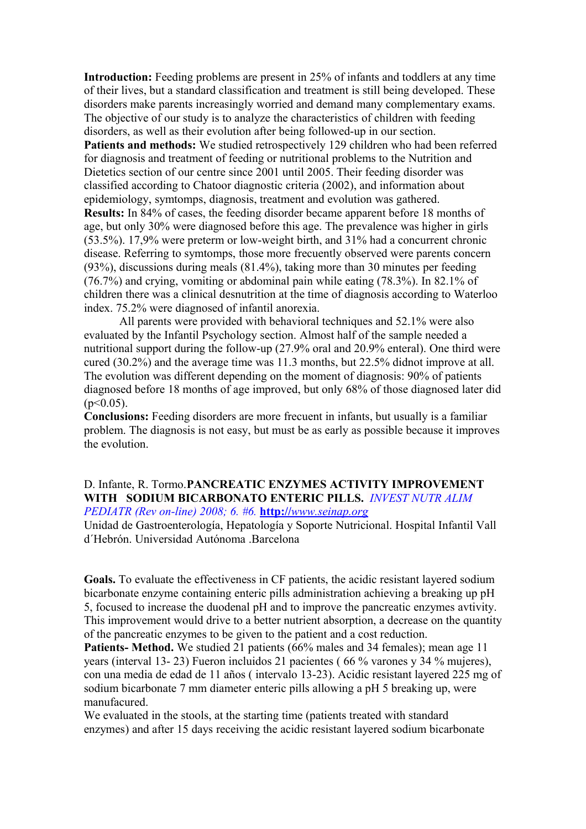**Introduction:** Feeding problems are present in 25% of infants and toddlers at any time of their lives, but a standard classification and treatment is still being developed. These disorders make parents increasingly worried and demand many complementary exams. The objective of our study is to analyze the characteristics of children with feeding disorders, as well as their evolution after being followed-up in our section.

**Patients and methods:** We studied retrospectively 129 children who had been referred for diagnosis and treatment of feeding or nutritional problems to the Nutrition and Dietetics section of our centre since 2001 until 2005. Their feeding disorder was classified according to Chatoor diagnostic criteria (2002), and information about epidemiology, symtomps, diagnosis, treatment and evolution was gathered. **Results:** In 84% of cases, the feeding disorder became apparent before 18 months of age, but only 30% were diagnosed before this age. The prevalence was higher in girls (53.5%). 17,9% were preterm or low-weight birth, and 31% had a concurrent chronic disease. Referring to symtomps, those more frecuently observed were parents concern (93%), discussions during meals (81.4%), taking more than 30 minutes per feeding (76.7%) and crying, vomiting or abdominal pain while eating (78.3%). In 82.1% of children there was a clinical desnutrition at the time of diagnosis according to Waterloo index. 75.2% were diagnosed of infantil anorexia.

 All parents were provided with behavioral techniques and 52.1% were also evaluated by the Infantil Psychology section. Almost half of the sample needed a nutritional support during the follow-up (27.9% oral and 20.9% enteral). One third were cured (30.2%) and the average time was 11.3 months, but 22.5% didnot improve at all. The evolution was different depending on the moment of diagnosis: 90% of patients diagnosed before 18 months of age improved, but only 68% of those diagnosed later did  $(p<0.05)$ .

**Conclusions:** Feeding disorders are more frecuent in infants, but usually is a familiar problem. The diagnosis is not easy, but must be as early as possible because it improves the evolution.

#### D. Infante, R. Tormo.**PANCREATIC ENZYMES ACTIVITY IMPROVEMENT WITH SODIUM BICARBONATO ENTERIC PILLS.** *INVEST NUTR ALIM PEDIATR (Rev on-line) 2008; 6. #6.* **http://** *[www.seinap.org](http://www.seinap.org/)*

Unidad de Gastroenterología, Hepatología y Soporte Nutricional. Hospital Infantil Vall d'Hebrón. Universidad Autónoma. Barcelona.

**Goals.** To evaluate the effectiveness in CF patients, the acidic resistant layered sodium bicarbonate enzyme containing enteric pills administration achieving a breaking up pH 5, focused to increase the duodenal pH and to improve the pancreatic enzymes avtivity. This improvement would drive to a better nutrient absorption, a decrease on the quantity of the pancreatic enzymes to be given to the patient and a cost reduction.

Patients- Method. We studied 21 patients (66% males and 34 females); mean age 11 years (interval 13- 23) Fueron incluidos 21 pacientes ( 66 % varones y 34 % mujeres), con una media de edad de 11 años ( intervalo 13-23). Acidic resistant layered 225 mg of sodium bicarbonate 7 mm diameter enteric pills allowing a pH 5 breaking up, were manufacured.

We evaluated in the stools, at the starting time (patients treated with standard enzymes) and after 15 days receiving the acidic resistant layered sodium bicarbonate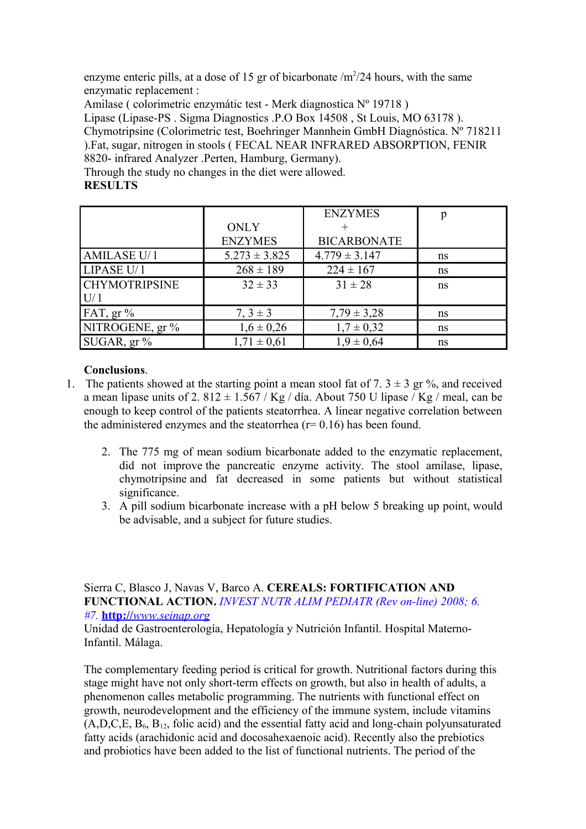enzyme enteric pills, at a dose of 15 gr of bicarbonate  $/m<sup>2</sup>/24$  hours, with the same enzymatic replacement :

Amilase ( colorimetric enzymátic test - Merk diagnostica Nº 19718 )

Lipase (Lipase-PS . Sigma Diagnostics .P.O Box 14508 , St Louis, MO 63178 ). Chymotripsine (Colorimetric test, Boehringer Mannhein GmbH Diagnóstica. Nº 718211 ).Fat, sugar, nitrogen in stools ( FECAL NEAR INFRARED ABSORPTION, FENIR 8820- infrared Analyzer .Perten, Hamburg, Germany).

Through the study no changes in the diet were allowed.

### **RESULTS**

|                      |                   | <b>ENZYMES</b>     | p  |
|----------------------|-------------------|--------------------|----|
|                      | <b>ONLY</b>       |                    |    |
|                      | <b>ENZYMES</b>    | <b>BICARBONATE</b> |    |
| <b>AMILASE U/1</b>   | $5.273 \pm 3.825$ | $4.779 \pm 3.147$  | ns |
| LIPASE U/1           | $268 \pm 189$     | $224 \pm 167$      | ns |
| <b>CHYMOTRIPSINE</b> | $32 \pm 33$       | $31 \pm 28$        | ns |
| U/1                  |                   |                    |    |
| FAT, gr%             | $7, 3 \pm 3$      | $7,79 \pm 3,28$    | ns |
| NITROGENE, gr%       | $1,6 \pm 0,26$    | $1,7 \pm 0,32$     | ns |
| SUGAR, gr%           | $1,71 \pm 0,61$   | $1,9 \pm 0,64$     | ns |

## **Conclusions**.

- 1. The patients showed at the starting point a mean stool fat of 7.  $3 \pm 3$  gr %, and received a mean lipase units of 2,  $812 \pm 1.567$  / Kg / día. About 750 U lipase / Kg / meal, can be enough to keep control of the patients steatorrhea. A linear negative correlation between the administered enzymes and the steatorrhea  $(r= 0.16)$  has been found.
	- 2. The 775 mg of mean sodium bicarbonate added to the enzymatic replacement, did not improve the pancreatic enzyme activity. The stool amilase, lipase, chymotripsine and fat decreased in some patients but without statistical significance.
	- 3. A pill sodium bicarbonate increase with a pH below 5 breaking up point, would be advisable, and a subject for future studies.

Sierra C, Blasco J, Navas V, Barco A. **CEREALS: FORTIFICATION AND FUNCTIONAL ACTION.** *INVEST NUTR ALIM PEDIATR (Rev on-line) 2008; 6. #7.* **http://** *[www.seinap.org](http://www.seinap.org/)*

Unidad de Gastroenterología, Hepatología y Nutrición Infantil. Hospital Materno-Infantil. Málaga.

The complementary feeding period is critical for growth. Nutritional factors during this stage might have not only short-term effects on growth, but also in health of adults, a phenomenon calles metabolic programming. The nutrients with functional effect on growth, neurodevelopment and the efficiency of the immune system, include vitamins  $(A, D, C, E, B_6, B_{12},$  folic acid) and the essential fatty acid and long-chain polyunsaturated fatty acids (arachidonic acid and docosahexaenoic acid). Recently also the prebiotics and probiotics have been added to the list of functional nutrients. The period of the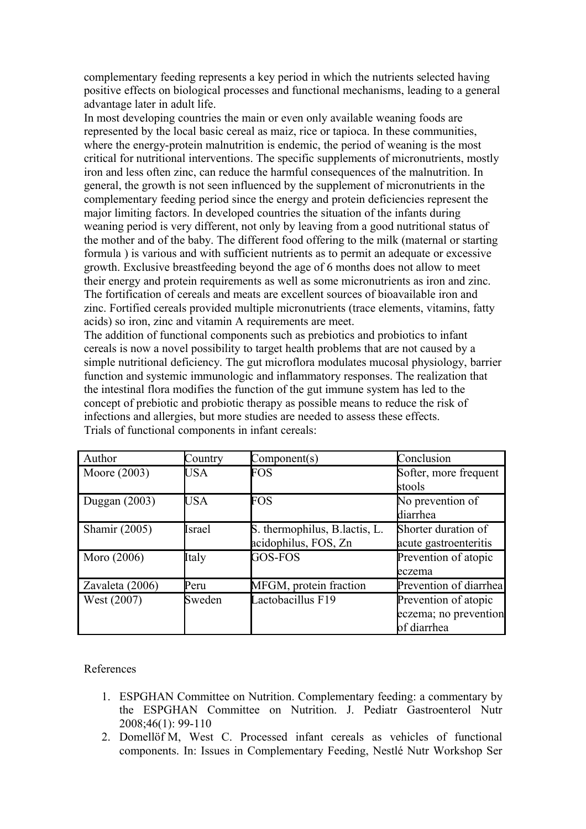complementary feeding represents a key period in which the nutrients selected having positive effects on biological processes and functional mechanisms, leading to a general advantage later in adult life.

In most developing countries the main or even only available weaning foods are represented by the local basic cereal as maiz, rice or tapioca. In these communities, where the energy-protein malnutrition is endemic, the period of weaning is the most critical for nutritional interventions. The specific supplements of micronutrients, mostly iron and less often zinc, can reduce the harmful consequences of the malnutrition. In general, the growth is not seen influenced by the supplement of micronutrients in the complementary feeding period since the energy and protein deficiencies represent the major limiting factors. In developed countries the situation of the infants during weaning period is very different, not only by leaving from a good nutritional status of the mother and of the baby. The different food offering to the milk (maternal or starting formula ) is various and with sufficient nutrients as to permit an adequate or excessive growth. Exclusive breastfeeding beyond the age of 6 months does not allow to meet their energy and protein requirements as well as some micronutrients as iron and zinc. The fortification of cereals and meats are excellent sources of bioavailable iron and zinc. Fortified cereals provided multiple micronutrients (trace elements, vitamins, fatty acids) so iron, zinc and vitamin A requirements are meet.

The addition of functional components such as prebiotics and probiotics to infant cereals is now a novel possibility to target health problems that are not caused by a simple nutritional deficiency. The gut microflora modulates mucosal physiology, barrier function and systemic immunologic and inflammatory responses. The realization that the intestinal flora modifies the function of the gut immune system has led to the concept of prebiotic and probiotic therapy as possible means to reduce the risk of infections and allergies, but more studies are needed to assess these effects. Trials of functional components in infant cereals:

| Author          | Country    | Component(s)                   | Conclusion             |
|-----------------|------------|--------------------------------|------------------------|
| Moore (2003)    | <b>USA</b> | FOS                            | Softer, more frequent  |
|                 |            |                                | stools                 |
| Duggan $(2003)$ | <b>USA</b> | FOS                            | No prevention of       |
|                 |            |                                | diarrhea               |
| Shamir (2005)   | Israel     | S. thermophilus, B. lactis, L. | Shorter duration of    |
|                 |            | acidophilus, FOS, Zn           | acute gastroenteritis  |
| Moro (2006)     | Italy      | GOS-FOS                        | Prevention of atopic   |
|                 |            |                                | eczema                 |
| Zavaleta (2006) | Peru       | MFGM, protein fraction         | Prevention of diarrhea |
| West (2007)     | Sweden     | Lactobacillus F19              | Prevention of atopic   |
|                 |            |                                | eczema; no prevention  |
|                 |            |                                | of diarrhea            |

References

- 1. ESPGHAN Committee on Nutrition. Complementary feeding: a commentary by the ESPGHAN Committee on Nutrition. J. Pediatr Gastroenterol Nutr 2008;46(1): 99-110
- 2. Domellöf M, West C. Processed infant cereals as vehicles of functional components. In: Issues in Complementary Feeding, Nestlé Nutr Workshop Ser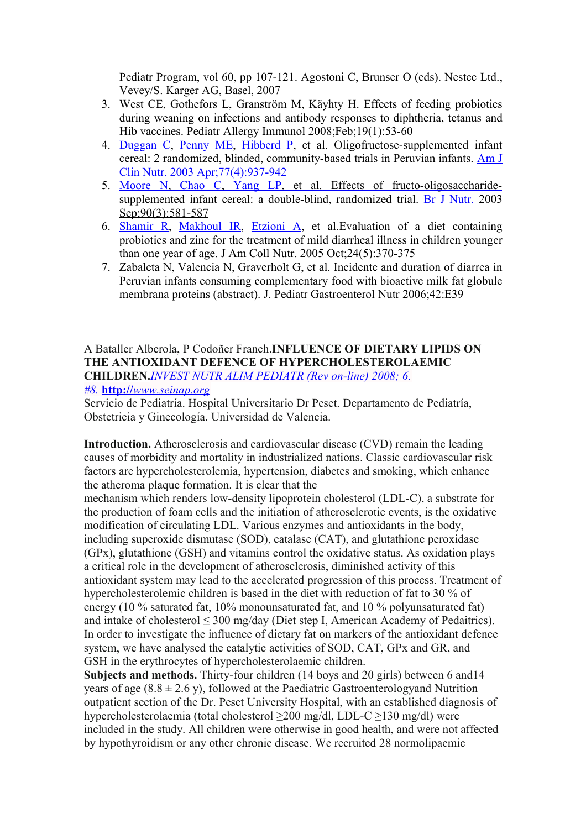Pediatr Program, vol 60, pp 107-121. Agostoni C, Brunser O (eds). Nestec Ltd., Vevey/S. Karger AG, Basel, 2007

- 3. West CE, Gothefors L, Granström M, Käyhty H. Effects of feeding probiotics during weaning on infections and antibody responses to diphtheria, tetanus and Hib vaccines. Pediatr Allergy Immunol 2008;Feb;19(1):53-60
- 4. [Duggan C,](http://www.ncbi.nlm.nih.gov/sites/entrez?Db=pubmed&Cmd=Search&Term=%22Duggan%20C%22%5BAuthor%5D&itool=EntrezSystem2.PEntrez.Pubmed.Pubmed_ResultsPanel.Pubmed_DiscoveryPanel.Pubmed_RVAbstractPlus) [Penny ME,](http://www.ncbi.nlm.nih.gov/sites/entrez?Db=pubmed&Cmd=Search&Term=%22Penny%20ME%22%5BAuthor%5D&itool=EntrezSystem2.PEntrez.Pubmed.Pubmed_ResultsPanel.Pubmed_DiscoveryPanel.Pubmed_RVAbstractPlus) [Hibberd P,](http://www.ncbi.nlm.nih.gov/sites/entrez?Db=pubmed&Cmd=Search&Term=%22Hibberd%20P%22%5BAuthor%5D&itool=EntrezSystem2.PEntrez.Pubmed.Pubmed_ResultsPanel.Pubmed_DiscoveryPanel.Pubmed_RVAbstractPlus) et al. Oligofructose-supplemented infant cereal: 2 randomized, blinded, community-based trials in Peruvian infants. [Am J](javascript:AL_get(this,%20) [Clin Nutr. 2003 Apr;77\(4\):937-942](javascript:AL_get(this,%20)
- 5. Moore N, Chao C, Yang LP, et al. Effects of fructo-oligosaccharide supplemented infant cereal: a double-blind, randomized trial. [Br J Nutr.](javascript:AL_get(this,%20) 2003 Sep: 90(3): 581-587
- 6. [Shamir R,](http://www.ncbi.nlm.nih.gov/sites/entrez?Db=pubmed&Cmd=Search&Term=%22Shamir%20R%22%5BAuthor%5D&itool=EntrezSystem2.PEntrez.Pubmed.Pubmed_ResultsPanel.Pubmed_DiscoveryPanel.Pubmed_RVAbstractPlus) [Makhoul IR,](http://www.ncbi.nlm.nih.gov/sites/entrez?Db=pubmed&Cmd=Search&Term=%22Makhoul%20IR%22%5BAuthor%5D&itool=EntrezSystem2.PEntrez.Pubmed.Pubmed_ResultsPanel.Pubmed_DiscoveryPanel.Pubmed_RVAbstractPlus) [Etzioni A,](http://www.ncbi.nlm.nih.gov/sites/entrez?Db=pubmed&Cmd=Search&Term=%22Etzioni%20A%22%5BAuthor%5D&itool=EntrezSystem2.PEntrez.Pubmed.Pubmed_ResultsPanel.Pubmed_DiscoveryPanel.Pubmed_RVAbstractPlus) et al.Evaluation of a diet containing probiotics and zinc for the treatment of mild diarrheal illness in children younger than one year of age. J Am Coll Nutr. 2005 Oct;24(5):370-375
- 7. Zabaleta N, Valencia N, Graverholt G, et al. Incidente and duration of diarrea in Peruvian infants consuming complementary food with bioactive milk fat globule membrana proteins (abstract). J. Pediatr Gastroenterol Nutr 2006;42:E39

#### A Bataller Alberola, P Codoñer Franch.**INFLUENCE OF DIETARY LIPIDS ON THE ANTIOXIDANT DEFENCE OF HYPERCHOLESTEROLAEMIC CHILDREN.***INVEST NUTR ALIM PEDIATR (Rev on-line) 2008; 6. #8.* **http://** *[www.seinap.org](http://www.seinap.org/)*

Servicio de Pediatría. Hospital Universitario Dr Peset. Departamento de Pediatría, Obstetricia y Ginecología. Universidad de Valencia.

**Introduction.** Atherosclerosis and cardiovascular disease (CVD) remain the leading causes of morbidity and mortality in industrialized nations. Classic cardiovascular risk factors are hypercholesterolemia, hypertension, diabetes and smoking, which enhance the atheroma plaque formation. It is clear that the

mechanism which renders low-density lipoprotein cholesterol (LDL-C), a substrate for the production of foam cells and the initiation of atherosclerotic events, is the oxidative modification of circulating LDL. Various enzymes and antioxidants in the body, including superoxide dismutase (SOD), catalase (CAT), and glutathione peroxidase (GPx), glutathione (GSH) and vitamins control the oxidative status. As oxidation plays a critical role in the development of atherosclerosis, diminished activity of this antioxidant system may lead to the accelerated progression of this process. Treatment of hypercholesterolemic children is based in the diet with reduction of fat to 30 % of energy (10 % saturated fat, 10% monounsaturated fat, and 10 % polyunsaturated fat) and intake of cholesterol  $\leq 300$  mg/day (Diet step I, American Academy of Pedaitrics). In order to investigate the influence of dietary fat on markers of the antioxidant defence system, we have analysed the catalytic activities of SOD, CAT, GPx and GR, and GSH in the erythrocytes of hypercholesterolaemic children.

**Subjects and methods.** Thirty-four children (14 boys and 20 girls) between 6 and14 years of age  $(8.8 \pm 2.6 \text{ y})$ , followed at the Paediatric Gastroenterologyand Nutrition outpatient section of the Dr. Peset University Hospital, with an established diagnosis of hypercholesterolaemia (total cholesterol  $\geq$ 200 mg/dl, LDL-C  $\geq$ 130 mg/dl) were included in the study. All children were otherwise in good health, and were not affected by hypothyroidism or any other chronic disease. We recruited 28 normolipaemic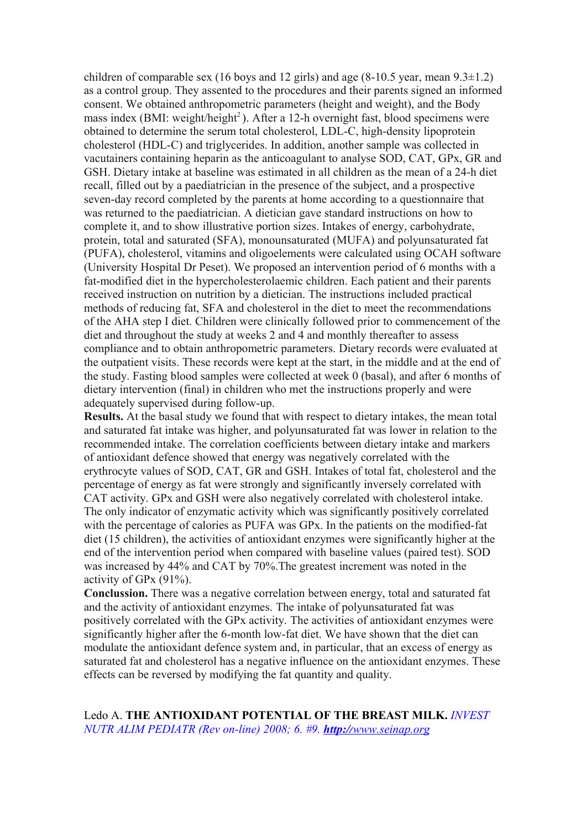children of comparable sex (16 boys and 12 girls) and age  $(8-10.5 \text{ year}, \text{mean } 9.3 \pm 1.2)$ as a control group. They assented to the procedures and their parents signed an informed consent. We obtained anthropometric parameters (height and weight), and the Body mass index (BMI: weight/height<sup>2</sup>). After a 12-h overnight fast, blood specimens were obtained to determine the serum total cholesterol, LDL-C, high-density lipoprotein cholesterol (HDL-C) and triglycerides. In addition, another sample was collected in vacutainers containing heparin as the anticoagulant to analyse SOD, CAT, GPx, GR and GSH. Dietary intake at baseline was estimated in all children as the mean of a 24-h diet recall, filled out by a paediatrician in the presence of the subject, and a prospective seven-day record completed by the parents at home according to a questionnaire that was returned to the paediatrician. A dietician gave standard instructions on how to complete it, and to show illustrative portion sizes. Intakes of energy, carbohydrate, protein, total and saturated (SFA), monounsaturated (MUFA) and polyunsaturated fat (PUFA), cholesterol, vitamins and oligoelements were calculated using OCAH software (University Hospital Dr Peset). We proposed an intervention period of 6 months with a fat-modified diet in the hypercholesterolaemic children. Each patient and their parents received instruction on nutrition by a dietician. The instructions included practical methods of reducing fat, SFA and cholesterol in the diet to meet the recommendations of the AHA step I diet. Children were clinically followed prior to commencement of the diet and throughout the study at weeks 2 and 4 and monthly thereafter to assess compliance and to obtain anthropometric parameters. Dietary records were evaluated at the outpatient visits. These records were kept at the start, in the middle and at the end of the study. Fasting blood samples were collected at week 0 (basal), and after 6 months of dietary intervention (final) in children who met the instructions properly and were adequately supervised during follow-up.

**Results.** At the basal study we found that with respect to dietary intakes, the mean total and saturated fat intake was higher, and polyunsaturated fat was lower in relation to the recommended intake. The correlation coefficients between dietary intake and markers of antioxidant defence showed that energy was negatively correlated with the erythrocyte values of SOD, CAT, GR and GSH. Intakes of total fat, cholesterol and the percentage of energy as fat were strongly and significantly inversely correlated with CAT activity. GPx and GSH were also negatively correlated with cholesterol intake. The only indicator of enzymatic activity which was significantly positively correlated with the percentage of calories as PUFA was GPx. In the patients on the modified-fat diet (15 children), the activities of antioxidant enzymes were significantly higher at the end of the intervention period when compared with baseline values (paired test). SOD was increased by 44% and CAT by 70%.The greatest increment was noted in the activity of GPx (91%).

**Conclussion.** There was a negative correlation between energy, total and saturated fat and the activity of antioxidant enzymes. The intake of polyunsaturated fat was positively correlated with the GPx activity. The activities of antioxidant enzymes were significantly higher after the 6-month low-fat diet. We have shown that the diet can modulate the antioxidant defence system and, in particular, that an excess of energy as saturated fat and cholesterol has a negative influence on the antioxidant enzymes. These effects can be reversed by modifying the fat quantity and quality.

Ledo A. **THE ANTIOXIDANT POTENTIAL OF THE BREAST MILK.** *INVEST NUTR ALIM PEDIATR (Rev on-line) 2008; 6. #9. http:// [www.seinap.org](http://www.seinap.org/)*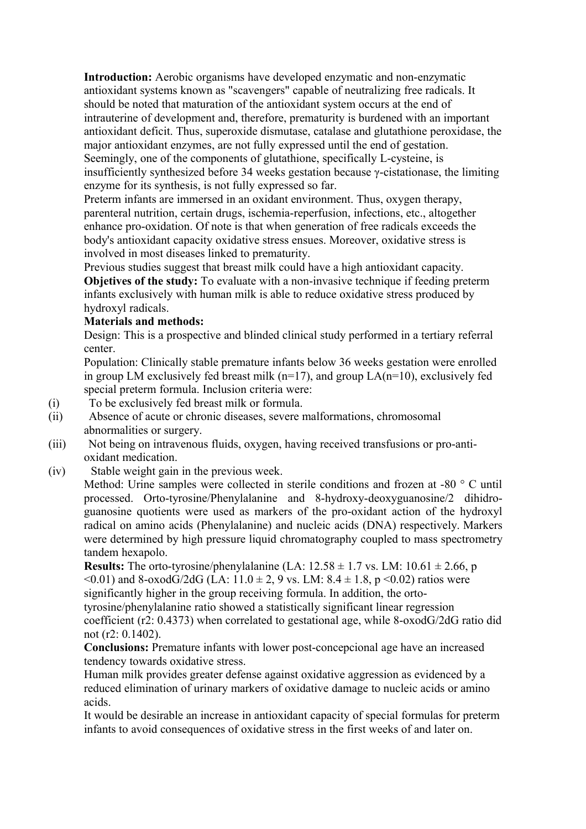**Introduction:** Aerobic organisms have developed enzymatic and non-enzymatic antioxidant systems known as "scavengers" capable of neutralizing free radicals. It should be noted that maturation of the antioxidant system occurs at the end of intrauterine of development and, therefore, prematurity is burdened with an important antioxidant deficit. Thus, superoxide dismutase, catalase and glutathione peroxidase, the major antioxidant enzymes, are not fully expressed until the end of gestation. Seemingly, one of the components of glutathione, specifically L-cysteine, is insufficiently synthesized before 34 weeks gestation because γ-cistationase, the limiting enzyme for its synthesis, is not fully expressed so far.

Preterm infants are immersed in an oxidant environment. Thus, oxygen therapy, parenteral nutrition, certain drugs, ischemia-reperfusion, infections, etc., altogether enhance pro-oxidation. Of note is that when generation of free radicals exceeds the body's antioxidant capacity oxidative stress ensues. Moreover, oxidative stress is involved in most diseases linked to prematurity.

Previous studies suggest that breast milk could have a high antioxidant capacity. **Objetives of the study:** To evaluate with a non-invasive technique if feeding preterm infants exclusively with human milk is able to reduce oxidative stress produced by hydroxyl radicals.

#### **Materials and methods:**

Design: This is a prospective and blinded clinical study performed in a tertiary referral center.

Population: Clinically stable premature infants below 36 weeks gestation were enrolled in group LM exclusively fed breast milk ( $n=17$ ), and group LA( $n=10$ ), exclusively fed special preterm formula. Inclusion criteria were:

- (i) To be exclusively fed breast milk or formula.
- (ii) Absence of acute or chronic diseases, severe malformations, chromosomal abnormalities or surgery.
- (iii) Not being on intravenous fluids, oxygen, having received transfusions or pro-antioxidant medication.
- (iv) Stable weight gain in the previous week.

Method: Urine samples were collected in sterile conditions and frozen at -80 ° C until processed. Orto-tyrosine/Phenylalanine and 8-hydroxy-deoxyguanosine/2 dihidroguanosine quotients were used as markers of the pro-oxidant action of the hydroxyl radical on amino acids (Phenylalanine) and nucleic acids (DNA) respectively. Markers were determined by high pressure liquid chromatography coupled to mass spectrometry tandem hexapolo.

**Results:** The orto-tyrosine/phenylalanine (LA:  $12.58 \pm 1.7$  vs. LM:  $10.61 \pm 2.66$ , p  $(0.01)$  and 8-oxodG/2dG (LA:  $11.0 \pm 2$ , 9 vs. LM:  $8.4 \pm 1.8$ , p $(0.02)$  ratios were significantly higher in the group receiving formula. In addition, the ortotyrosine/phenylalanine ratio showed a statistically significant linear regression

coefficient (r2: 0.4373) when correlated to gestational age, while 8-oxodG/2dG ratio did not (r2: 0.1402).

**Conclusions:** Premature infants with lower post-concepcional age have an increased tendency towards oxidative stress.

Human milk provides greater defense against oxidative aggression as evidenced by a reduced elimination of urinary markers of oxidative damage to nucleic acids or amino acids.

It would be desirable an increase in antioxidant capacity of special formulas for preterm infants to avoid consequences of oxidative stress in the first weeks of and later on.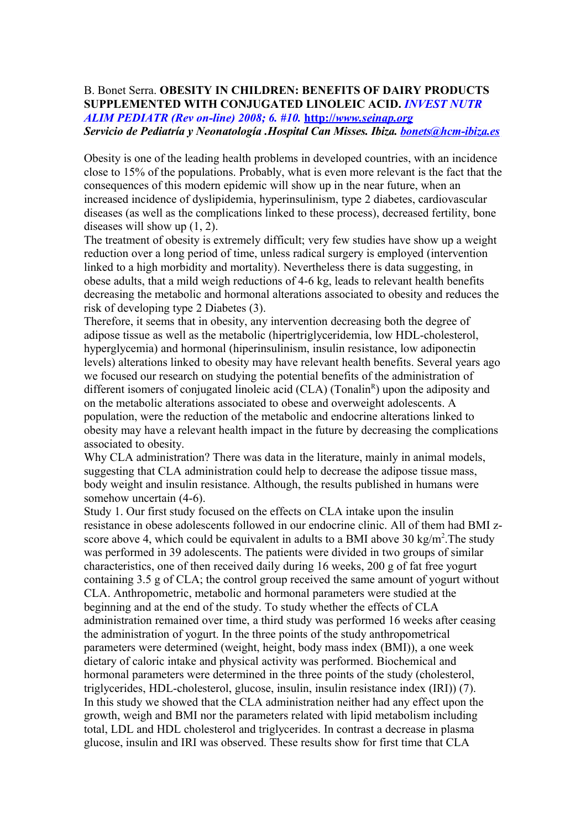#### B. Bonet Serra. **OBESITY IN CHILDREN: BENEFITS OF DAIRY PRODUCTS SUPPLEMENTED WITH CONJUGATED LINOLEIC ACID.** *INVEST NUTR ALIM PEDIATR (Rev on-line) 2008; 6. #10.* **http://** *[www.seinap.org](http://www.seinap.org/) Servicio de Pediatría y Neonatología .Hospital Can Misses. Ibiza. [bonets@hcm-ibiza.es](mailto:bonets@hcm-ibiza.es)*

Obesity is one of the leading health problems in developed countries, with an incidence close to 15% of the populations. Probably, what is even more relevant is the fact that the consequences of this modern epidemic will show up in the near future, when an increased incidence of dyslipidemia, hyperinsulinism, type 2 diabetes, cardiovascular diseases (as well as the complications linked to these process), decreased fertility, bone diseases will show up (1, 2).

The treatment of obesity is extremely difficult; very few studies have show up a weight reduction over a long period of time, unless radical surgery is employed (intervention linked to a high morbidity and mortality). Nevertheless there is data suggesting, in obese adults, that a mild weigh reductions of 4-6 kg, leads to relevant health benefits decreasing the metabolic and hormonal alterations associated to obesity and reduces the risk of developing type 2 Diabetes (3).

Therefore, it seems that in obesity, any intervention decreasing both the degree of adipose tissue as well as the metabolic (hipertriglyceridemia, low HDL-cholesterol, hyperglycemia) and hormonal (hiperinsulinism, insulin resistance, low adiponectin levels) alterations linked to obesity may have relevant health benefits. Several years ago we focused our research on studying the potential benefits of the administration of different isomers of conjugated linoleic acid  $(CLA)$  (Tonalin<sup>R</sup>) upon the adiposity and on the metabolic alterations associated to obese and overweight adolescents. A population, were the reduction of the metabolic and endocrine alterations linked to obesity may have a relevant health impact in the future by decreasing the complications associated to obesity.

Why CLA administration? There was data in the literature, mainly in animal models, suggesting that CLA administration could help to decrease the adipose tissue mass, body weight and insulin resistance. Although, the results published in humans were somehow uncertain  $(4-6)$ .

Study 1. Our first study focused on the effects on CLA intake upon the insulin resistance in obese adolescents followed in our endocrine clinic. All of them had BMI zscore above 4, which could be equivalent in adults to a BMI above 30 kg/m<sup>2</sup>. The study was performed in 39 adolescents. The patients were divided in two groups of similar characteristics, one of then received daily during 16 weeks, 200 g of fat free yogurt containing 3.5 g of CLA; the control group received the same amount of yogurt without CLA. Anthropometric, metabolic and hormonal parameters were studied at the beginning and at the end of the study. To study whether the effects of CLA administration remained over time, a third study was performed 16 weeks after ceasing the administration of yogurt. In the three points of the study anthropometrical parameters were determined (weight, height, body mass index (BMI)), a one week dietary of caloric intake and physical activity was performed. Biochemical and hormonal parameters were determined in the three points of the study (cholesterol, triglycerides, HDL-cholesterol, glucose, insulin, insulin resistance index (IRI)) (7). In this study we showed that the CLA administration neither had any effect upon the growth, weigh and BMI nor the parameters related with lipid metabolism including total, LDL and HDL cholesterol and triglycerides. In contrast a decrease in plasma glucose, insulin and IRI was observed. These results show for first time that CLA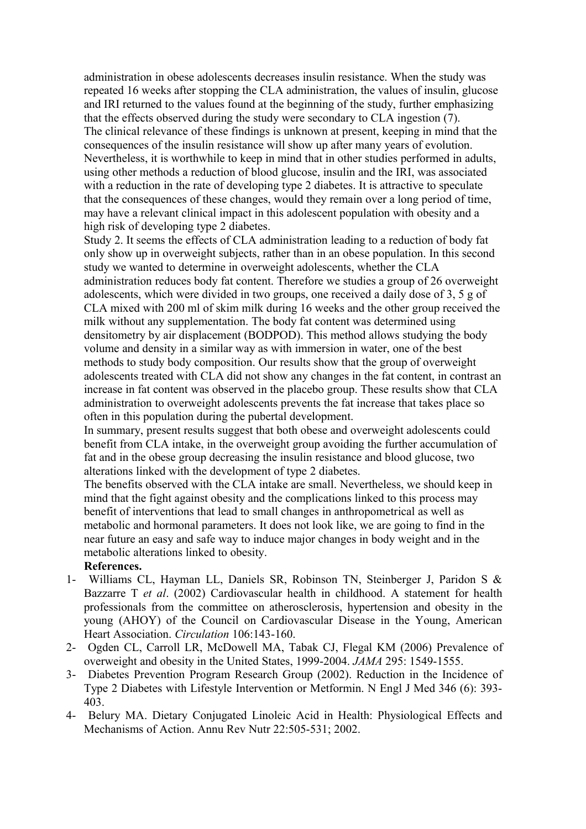administration in obese adolescents decreases insulin resistance. When the study was repeated 16 weeks after stopping the CLA administration, the values of insulin, glucose and IRI returned to the values found at the beginning of the study, further emphasizing that the effects observed during the study were secondary to CLA ingestion (7). The clinical relevance of these findings is unknown at present, keeping in mind that the consequences of the insulin resistance will show up after many years of evolution. Nevertheless, it is worthwhile to keep in mind that in other studies performed in adults, using other methods a reduction of blood glucose, insulin and the IRI, was associated with a reduction in the rate of developing type 2 diabetes. It is attractive to speculate that the consequences of these changes, would they remain over a long period of time, may have a relevant clinical impact in this adolescent population with obesity and a high risk of developing type 2 diabetes.

Study 2. It seems the effects of CLA administration leading to a reduction of body fat only show up in overweight subjects, rather than in an obese population. In this second study we wanted to determine in overweight adolescents, whether the CLA administration reduces body fat content. Therefore we studies a group of 26 overweight adolescents, which were divided in two groups, one received a daily dose of 3, 5 g of CLA mixed with 200 ml of skim milk during 16 weeks and the other group received the milk without any supplementation. The body fat content was determined using densitometry by air displacement (BODPOD). This method allows studying the body volume and density in a similar way as with immersion in water, one of the best methods to study body composition. Our results show that the group of overweight adolescents treated with CLA did not show any changes in the fat content, in contrast an increase in fat content was observed in the placebo group. These results show that CLA administration to overweight adolescents prevents the fat increase that takes place so often in this population during the pubertal development.

In summary, present results suggest that both obese and overweight adolescents could benefit from CLA intake, in the overweight group avoiding the further accumulation of fat and in the obese group decreasing the insulin resistance and blood glucose, two alterations linked with the development of type 2 diabetes.

The benefits observed with the CLA intake are small. Nevertheless, we should keep in mind that the fight against obesity and the complications linked to this process may benefit of interventions that lead to small changes in anthropometrical as well as metabolic and hormonal parameters. It does not look like, we are going to find in the near future an easy and safe way to induce major changes in body weight and in the metabolic alterations linked to obesity.

#### **References.**

- 1- Williams CL, Hayman LL, Daniels SR, Robinson TN, Steinberger J, Paridon S & Bazzarre T *et al*. (2002) Cardiovascular health in childhood. A statement for health professionals from the committee on atherosclerosis, hypertension and obesity in the young (AHOY) of the Council on Cardiovascular Disease in the Young, American Heart Association. *Circulation* 106:143-160.
- 2- Ogden CL, Carroll LR, McDowell MA, Tabak CJ, Flegal KM (2006) Prevalence of overweight and obesity in the United States, 1999-2004. *JAMA* 295: 1549-1555.
- 3- Diabetes Prevention Program Research Group (2002). Reduction in the Incidence of Type 2 Diabetes with Lifestyle Intervention or Metformin. N Engl J Med 346 (6): 393- 403.
- 4- Belury MA. Dietary Conjugated Linoleic Acid in Health: Physiological Effects and Mechanisms of Action. Annu Rev Nutr 22:505-531; 2002.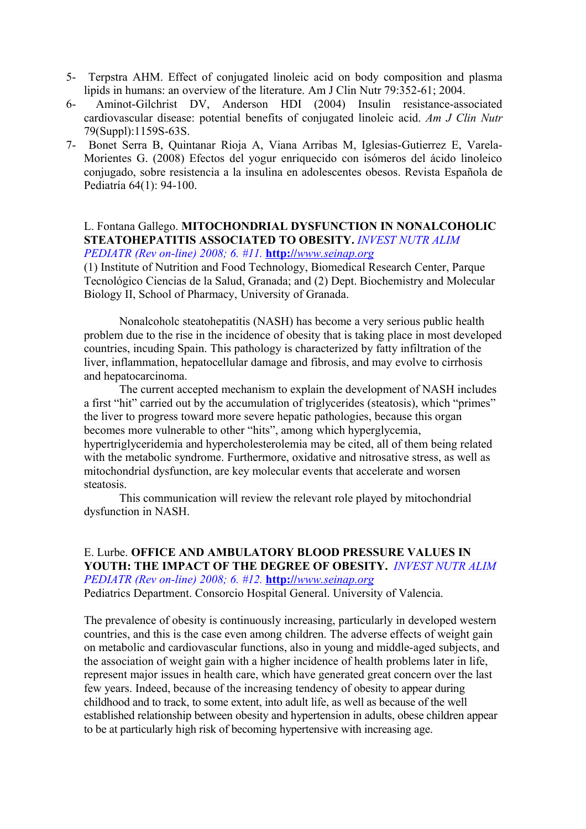- 5- Terpstra AHM. Effect of conjugated linoleic acid on body composition and plasma lipids in humans: an overview of the literature. Am J Clin Nutr 79:352-61; 2004.
- 6- Aminot-Gilchrist DV, Anderson HDI (2004) Insulin resistance-associated cardiovascular disease: potential benefits of conjugated linoleic acid. *Am J Clin Nutr* 79(Suppl):1159S-63S.
- 7- Bonet Serra B, Quintanar Rioja A, Viana Arribas M, Iglesias-Gutierrez E, Varela-Morientes G. (2008) Efectos del yogur enriquecido con isómeros del ácido linoleico conjugado, sobre resistencia a la insulina en adolescentes obesos. Revista Española de Pediatría 64(1): 94-100.

#### L. Fontana Gallego. **MITOCHONDRIAL DYSFUNCTION IN NONALCOHOLIC STEATOHEPATITIS ASSOCIATED TO OBESITY.** *INVEST NUTR ALIM PEDIATR (Rev on-line) 2008; 6. #11.* **http://** *[www.seinap.org](http://www.seinap.org/)*

(1) Institute of Nutrition and Food Technology, Biomedical Research Center, Parque Tecnológico Ciencias de la Salud, Granada; and (2) Dept. Biochemistry and Molecular Biology II, School of Pharmacy, University of Granada.

Nonalcoholc steatohepatitis (NASH) has become a very serious public health problem due to the rise in the incidence of obesity that is taking place in most developed countries, incuding Spain. This pathology is characterized by fatty infiltration of the liver, inflammation, hepatocellular damage and fibrosis, and may evolve to cirrhosis and hepatocarcinoma.

The current accepted mechanism to explain the development of NASH includes a first "hit" carried out by the accumulation of triglycerides (steatosis), which "primes" the liver to progress toward more severe hepatic pathologies, because this organ becomes more vulnerable to other "hits", among which hyperglycemia, hypertriglyceridemia and hypercholesterolemia may be cited, all of them being related with the metabolic syndrome. Furthermore, oxidative and nitrosative stress, as well as mitochondrial dysfunction, are key molecular events that accelerate and worsen steatosis.

This communication will review the relevant role played by mitochondrial dysfunction in NASH.

E. Lurbe. **OFFICE AND AMBULATORY BLOOD PRESSURE VALUES IN YOUTH: THE IMPACT OF THE DEGREE OF OBESITY.** *INVEST NUTR ALIM PEDIATR (Rev on-line) 2008; 6. #12.* **http://** *[www.seinap.org](http://www.seinap.org/)* Pediatrics Department. Consorcio Hospital General. University of Valencia.

The prevalence of obesity is continuously increasing, particularly in developed western countries, and this is the case even among children. The adverse effects of weight gain on metabolic and cardiovascular functions, also in young and middle-aged subjects, and the association of weight gain with a higher incidence of health problems later in life, represent major issues in health care, which have generated great concern over the last few years. Indeed, because of the increasing tendency of obesity to appear during childhood and to track, to some extent, into adult life, as well as because of the well established relationship between obesity and hypertension in adults, obese children appear to be at particularly high risk of becoming hypertensive with increasing age.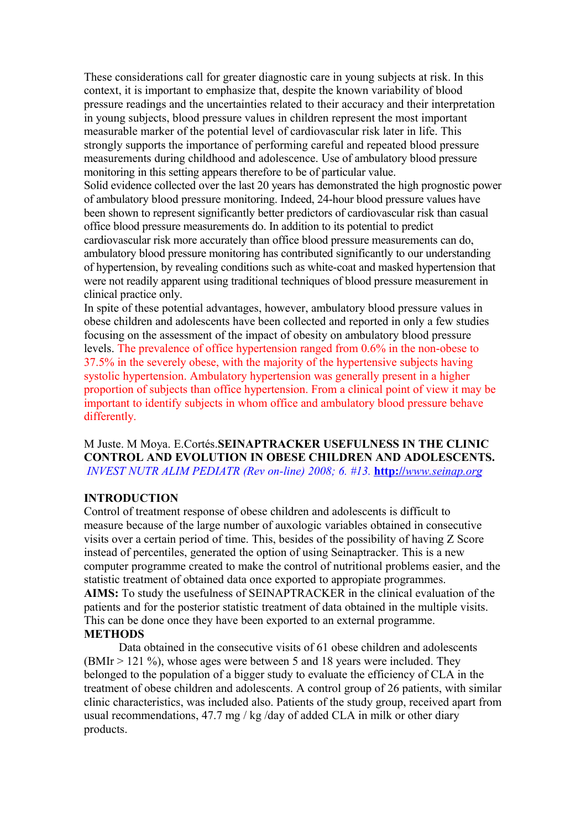These considerations call for greater diagnostic care in young subjects at risk. In this context, it is important to emphasize that, despite the known variability of blood pressure readings and the uncertainties related to their accuracy and their interpretation in young subjects, blood pressure values in children represent the most important measurable marker of the potential level of cardiovascular risk later in life. This strongly supports the importance of performing careful and repeated blood pressure measurements during childhood and adolescence. Use of ambulatory blood pressure monitoring in this setting appears therefore to be of particular value. Solid evidence collected over the last 20 years has demonstrated the high prognostic power of ambulatory blood pressure monitoring. Indeed, 24-hour blood pressure values have been shown to represent significantly better predictors of cardiovascular risk than casual office blood pressure measurements do. In addition to its potential to predict cardiovascular risk more accurately than office blood pressure measurements can do, ambulatory blood pressure monitoring has contributed significantly to our understanding of hypertension, by revealing conditions such as white-coat and masked hypertension that were not readily apparent using traditional techniques of blood pressure measurement in clinical practice only.

In spite of these potential advantages, however, ambulatory blood pressure values in obese children and adolescents have been collected and reported in only a few studies focusing on the assessment of the impact of obesity on ambulatory blood pressure levels. The prevalence of office hypertension ranged from 0.6% in the non-obese to 37.5% in the severely obese, with the majority of the hypertensive subjects having systolic hypertension. Ambulatory hypertension was generally present in a higher proportion of subjects than office hypertension. From a clinical point of view it may be important to identify subjects in whom office and ambulatory blood pressure behave differently.

M Juste. M Moya. E.Cortés.**SEINAPTRACKER USEFULNESS IN THE CLINIC CONTROL AND EVOLUTION IN OBESE CHILDREN AND ADOLESCENTS.** *INVEST NUTR ALIM PEDIATR (Rev on-line) 2008; 6. #13.* **http://** *[www.seinap.org](http://www.seinap.org/)*

#### **INTRODUCTION**

Control of treatment response of obese children and adolescents is difficult to measure because of the large number of auxologic variables obtained in consecutive visits over a certain period of time. This, besides of the possibility of having Z Score instead of percentiles, generated the option of using Seinaptracker. This is a new computer programme created to make the control of nutritional problems easier, and the statistic treatment of obtained data once exported to appropiate programmes. **AIMS:** To study the usefulness of SEINAPTRACKER in the clinical evaluation of the patients and for the posterior statistic treatment of data obtained in the multiple visits. This can be done once they have been exported to an external programme. **METHODS**

Data obtained in the consecutive visits of 61 obese children and adolescents (BMIr > 121 %), whose ages were between 5 and 18 years were included. They belonged to the population of a bigger study to evaluate the efficiency of CLA in the treatment of obese children and adolescents. A control group of 26 patients, with similar clinic characteristics, was included also. Patients of the study group, received apart from usual recommendations, 47.7 mg / kg /day of added CLA in milk or other diary products.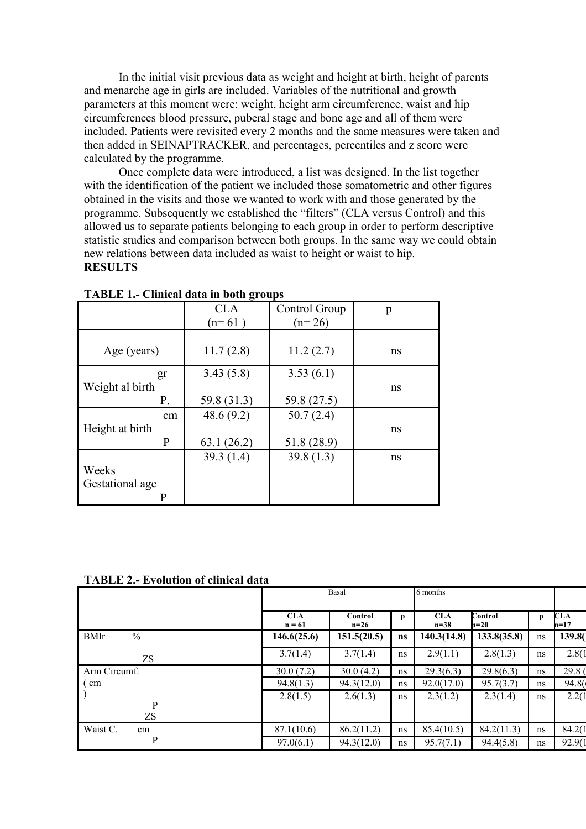In the initial visit previous data as weight and height at birth, height of parents and menarche age in girls are included. Variables of the nutritional and growth parameters at this moment were: weight, height arm circumference, waist and hip circumferences blood pressure, puberal stage and bone age and all of them were included. Patients were revisited every 2 months and the same measures were taken and then added in SEINAPTRACKER, and percentages, percentiles and z score were calculated by the programme.

Once complete data were introduced, a list was designed. In the list together with the identification of the patient we included those somatometric and other figures obtained in the visits and those we wanted to work with and those generated by the programme. Subsequently we established the "filters" (CLA versus Control) and this allowed us to separate patients belonging to each group in order to perform descriptive statistic studies and comparison between both groups. In the same way we could obtain new relations between data included as waist to height or waist to hip. **RESULTS**

|                 | -<br><b>CLA</b><br>$(n=61)$ | Control Group<br>$(n=26)$ | p  |
|-----------------|-----------------------------|---------------------------|----|
|                 |                             |                           |    |
| Age (years)     | 11.7(2.8)                   | 11.2(2.7)                 | ns |
| gr              | 3.43(5.8)                   | 3.53(6.1)                 |    |
| Weight al birth |                             |                           | ns |
| Ρ.              | 59.8 (31.3)                 | 59.8 (27.5)               |    |
| cm              | 48.6(9.2)                   | 50.7(2.4)                 |    |
| Height at birth |                             |                           | ns |
| P               | 63.1(26.2)                  | 51.8 (28.9)               |    |
|                 | 39.3(1.4)                   | 39.8(1.3)                 | ns |
| Weeks           |                             |                           |    |
| Gestational age |                             |                           |    |
|                 |                             |                           |    |

**TABLE 1.- Clinical data in both groups**

| <b>TABLE 2.- Evolution of clinical data</b> |  |
|---------------------------------------------|--|
|---------------------------------------------|--|

|                              | Basal                  |                   |              | 6 months             |                   |    |                      |
|------------------------------|------------------------|-------------------|--------------|----------------------|-------------------|----|----------------------|
|                              | <b>CLA</b><br>$n = 61$ | Control<br>$n=26$ | $\mathbf{p}$ | <b>CLA</b><br>$n=38$ | Control<br>$n=20$ | p  | <b>CLA</b><br>$n=17$ |
| $\frac{0}{0}$<br><b>BMIr</b> | 146.6(25.6)            | 151.5(20.5)       | ns           | 140.3(14.8)          | 133.8(35.8)       | ns | 139.8                |
| ZS                           | 3.7(1.4)               | 3.7(1.4)          | ns           | 2.9(1.1)             | 2.8(1.3)          | ns | 2.8(1)               |
| Arm Circumf.                 | 30.0(7.2)              | 30.0(4.2)         | ns           | 29.3(6.3)            | 29.8(6.3)         | ns | 29.8                 |
| cm                           | 94.8(1.3)              | 94.3(12.0)        | ns           | 92.0(17.0)           | 95.7(3.7)         | ns | 94.8                 |
|                              | 2.8(1.5)               | 2.6(1.3)          | ns           | 2.3(1.2)             | 2.3(1.4)          | ns | 2.2(1)               |
| P<br>ZS                      |                        |                   |              |                      |                   |    |                      |
| Waist C.<br>cm               | 87.1(10.6)             | 86.2(11.2)        | ns           | 85.4(10.5)           | 84.2(11.3)        | ns | 84.2(1)              |
| P                            | 97.0(6.1)              | 94.3(12.0)        | ns           | 95.7(7.1)            | 94.4(5.8)         | ns | 92.9(1               |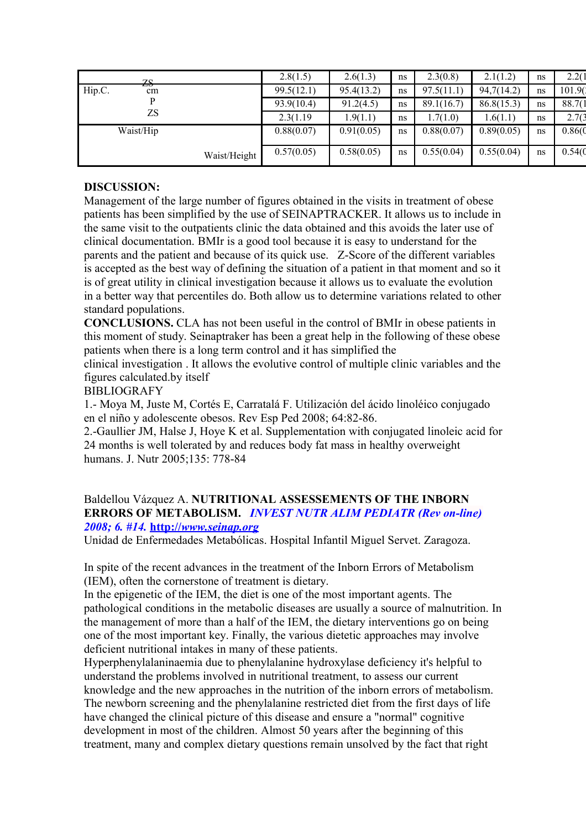| 70                |              | 2.8(1.5)   | 2.6(1.3)   | ns | 2.3(0.8)   | 2.1(1.2)   | ns | 2.2(1)  |
|-------------------|--------------|------------|------------|----|------------|------------|----|---------|
| w<br>Hip.C.<br>cm |              | 99.5(12.1) | 95.4(13.2) | ns | 97.5(11.1) | 94,7(14.2) | ns | 101.90  |
|                   |              | 93.9(10.4) | 91.2(4.5)  | ns | 89.1(16.7) | 86.8(15.3) | ns | 88.7(1  |
| ZS                |              | 2.3(1.19)  | .9(1.1)    | ns | 1.7(1.0)   | 1.6(1.1)   | ns | 2.7(3)  |
| Waist/Hip         |              | 0.88(0.07) | 0.91(0.05) | ns | 0.88(0.07) | 0.89(0.05) | ns | 0.86(0) |
|                   |              |            |            |    |            |            |    |         |
|                   | Waist/Height | 0.57(0.05) | 0.58(0.05) | ns | 0.55(0.04) | 0.55(0.04) | ns | 0.54(0) |
|                   |              |            |            |    |            |            |    |         |

#### **DISCUSSION:**

Management of the large number of figures obtained in the visits in treatment of obese patients has been simplified by the use of SEINAPTRACKER. It allows us to include in the same visit to the outpatients clinic the data obtained and this avoids the later use of clinical documentation. BMIr is a good tool because it is easy to understand for the parents and the patient and because of its quick use. Z-Score of the different variables is accepted as the best way of defining the situation of a patient in that moment and so it is of great utility in clinical investigation because it allows us to evaluate the evolution in a better way that percentiles do. Both allow us to determine variations related to other standard populations.

**CONCLUSIONS.** CLA has not been useful in the control of BMIr in obese patients in this moment of study. Seinaptraker has been a great help in the following of these obese patients when there is a long term control and it has simplified the

clinical investigation . It allows the evolutive control of multiple clinic variables and the figures calculated.by itself

#### BIBLIOGRAFY

1.- Moya M, Juste M, Cortés E, Carratalá F. Utilización del ácido linoléico conjugado en el niño y adolescente obesos. Rev Esp Ped 2008; 64:82-86.

2.-Gaullier JM, Halse J, Hoye K et al. Supplementation with conjugated linoleic acid for 24 months is well tolerated by and reduces body fat mass in healthy overweight humans. J. Nutr 2005;135: 778-84

#### Baldellou Vázquez A. **NUTRITIONAL ASSESSEMENTS OF THE INBORN ERRORS OF METABOLISM.** *INVEST NUTR ALIM PEDIATR (Rev on-line) 2008; 6. #14.* **http://** *[www.seinap.org](http://www.seinap.org/)*

Unidad de Enfermedades Metabólicas. Hospital Infantil Miguel Servet. Zaragoza.

In spite of the recent advances in the treatment of the Inborn Errors of Metabolism (IEM), often the cornerstone of treatment is dietary.

In the epigenetic of the IEM, the diet is one of the most important agents. The pathological conditions in the metabolic diseases are usually a source of malnutrition. In the management of more than a half of the IEM, the dietary interventions go on being one of the most important key. Finally, the various dietetic approaches may involve deficient nutritional intakes in many of these patients.

Hyperphenylalaninaemia due to phenylalanine hydroxylase deficiency it's helpful to understand the problems involved in nutritional treatment, to assess our current knowledge and the new approaches in the nutrition of the inborn errors of metabolism. The newborn screening and the phenylalanine restricted diet from the first days of life have changed the clinical picture of this disease and ensure a "normal" cognitive development in most of the children. Almost 50 years after the beginning of this treatment, many and complex dietary questions remain unsolved by the fact that right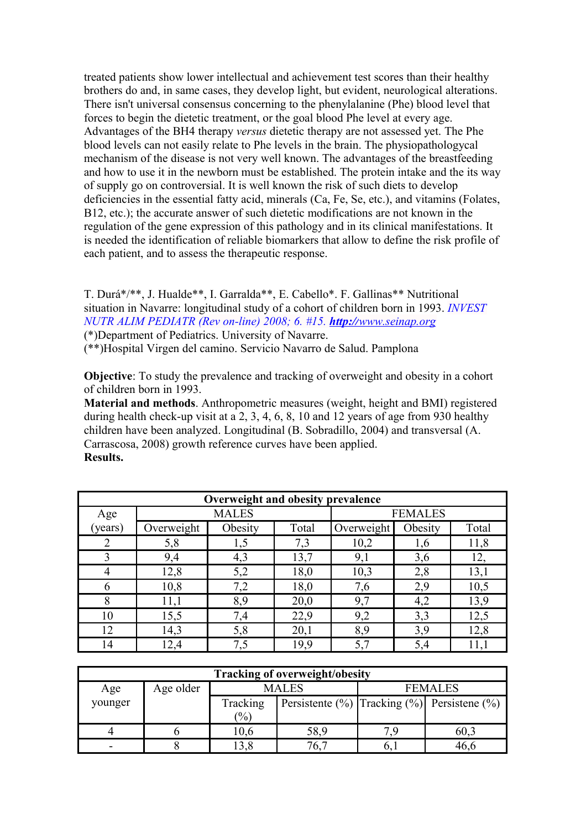treated patients show lower intellectual and achievement test scores than their healthy brothers do and, in same cases, they develop light, but evident, neurological alterations. There isn't universal consensus concerning to the phenylalanine (Phe) blood level that forces to begin the dietetic treatment, or the goal blood Phe level at every age. Advantages of the BH4 therapy *versus* dietetic therapy are not assessed yet. The Phe blood levels can not easily relate to Phe levels in the brain. The physiopathologycal mechanism of the disease is not very well known. The advantages of the breastfeeding and how to use it in the newborn must be established. The protein intake and the its way of supply go on controversial. It is well known the risk of such diets to develop deficiencies in the essential fatty acid, minerals (Ca, Fe, Se, etc.), and vitamins (Folates, B12, etc.); the accurate answer of such dietetic modifications are not known in the regulation of the gene expression of this pathology and in its clinical manifestations. It is needed the identification of reliable biomarkers that allow to define the risk profile of each patient, and to assess the therapeutic response.

T. Durá\*/\*\*, J. Hualde\*\*, I. Garralda\*\*, E. Cabello\*. F. Gallinas\*\* Nutritional situation in Navarre: longitudinal study of a cohort of children born in 1993. *INVEST NUTR ALIM PEDIATR (Rev on-line) 2008; 6. #15. http:// [www.seinap.org](http://www.seinap.org/)* (\*)Department of Pediatrics. University of Navarre.

(\*\*)Hospital Virgen del camino. Servicio Navarro de Salud. Pamplona

**Objective**: To study the prevalence and tracking of overweight and obesity in a cohort of children born in 1993.

**Material and methods**. Anthropometric measures (weight, height and BMI) registered during health check-up visit at a 2, 3, 4, 6, 8, 10 and 12 years of age from 930 healthy children have been analyzed. Longitudinal (B. Sobradillo, 2004) and transversal (A. Carrascosa, 2008) growth reference curves have been applied. **Results.**

| Overweight and obesity prevalence |            |              |       |            |                |       |  |
|-----------------------------------|------------|--------------|-------|------------|----------------|-------|--|
| Age                               |            | <b>MALES</b> |       |            | <b>FEMALES</b> |       |  |
| (years)                           | Overweight | Obesity      | Total | Overweight | Obesity        | Total |  |
| 2                                 | 5,8        | 1,5          | 7,3   | 10,2       | 1,6            | 11,8  |  |
| 3                                 | 9,4        | 4,3          | 13,7  | 9,1        | 3,6            | 12,   |  |
| 4                                 | 12,8       | 5,2          | 18,0  | 10,3       | 2,8            | 13,1  |  |
| 6                                 | 10,8       | 7,2          | 18,0  | 7,6        | 2,9            | 10,5  |  |
| 8                                 | 11,1       | 8,9          | 20,0  | 9,7        | 4,2            | 13,9  |  |
| 10                                | 15,5       | 7,4          | 22,9  | 9,2        | 3,3            | 12,5  |  |
| 12                                | 14,3       | 5,8          | 20,1  | 8,9        | 3,9            | 12,8  |  |
| 14                                | 12,4       | 7,5          | 19,9  | 5,7        | 5,4            | 11,1  |  |

| <b>Tracking of overweight/obesity</b> |           |                                                                                   |       |    |                |  |  |  |
|---------------------------------------|-----------|-----------------------------------------------------------------------------------|-------|----|----------------|--|--|--|
| Age                                   | Age older |                                                                                   | MALES |    | <b>FEMALES</b> |  |  |  |
| younger                               |           | Tracking<br>Persistente $(\%)$ Tracking $(\%)$ Persistene $(\%)$<br>$\frac{1}{2}$ |       |    |                |  |  |  |
|                                       |           | 10,6                                                                              | 58,9  |    | 60.1           |  |  |  |
|                                       |           |                                                                                   |       | n. |                |  |  |  |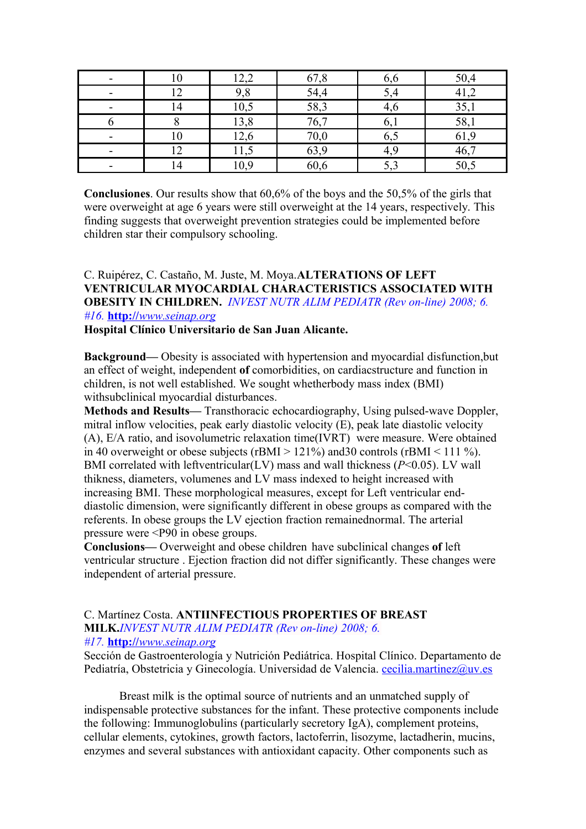|     | ാ റ<br>می که ا | 67,8 | 6,6  | 50,4 |
|-----|----------------|------|------|------|
|     | 9,8            | 54,4 | 2,4  | 41,  |
| l 4 | 10,5           | 58,3 | 4,0  | 35,1 |
|     | 13,8           | 76,7 | 6,1  | 58,1 |
|     | 12,6           | 70,0 | 6,5  | 61,  |
|     | 11,5           | 63,9 |      | 46,7 |
|     | 10,9           | 60,6 | ن پا | 50,5 |

**Conclusiones**. Our results show that 60,6% of the boys and the 50,5% of the girls that were overweight at age 6 years were still overweight at the 14 years, respectively. This finding suggests that overweight prevention strategies could be implemented before children star their compulsory schooling.

#### C. Ruipérez, C. Castaño, M. Juste, M. Moya.**ALTERATIONS OF LEFT VENTRICULAR MYOCARDIAL CHARACTERISTICS ASSOCIATED WITH OBESITY IN CHILDREN.** *INVEST NUTR ALIM PEDIATR (Rev on-line) 2008; 6. #16.* **http://** *[www.seinap.org](http://www.seinap.org/)*

**Hospital Clínico Universitario de San Juan Alicante.**

**Background—** Obesity is associated with hypertension and myocardial disfunction,but an effect of weight, independent **of** comorbidities, on cardiacstructure and function in children, is not well established. We sought whetherbody mass index (BMI) withsubclinical myocardial disturbances.

**Methods and Results—** Transthoracic echocardiography, Using pulsed-wave Doppler, mitral inflow velocities, peak early diastolic velocity (E), peak late diastolic velocity (A), E/A ratio, and isovolumetric relaxation time(IVRT) were measure. Were obtained in 40 overweight or obese subjects (rBMI > 121%) and 30 controls (rBMI < 111 %). BMI correlated with leftventricular(LV) mass and wall thickness (*P*<0.05). LV wall thikness, diameters, volumenes and LV mass indexed to height increased with increasing BMI. These morphological measures, except for Left ventricular enddiastolic dimension, were significantly different in obese groups as compared with the referents. In obese groups the LV ejection fraction remainednormal. The arterial pressure were <P90 in obese groups.

**Conclusions—** Overweight and obese children have subclinical changes **of** left ventricular structure . Ejection fraction did not differ significantly. These changes were independent of arterial pressure.

#### C. Martínez Costa. **ANTIINFECTIOUS PROPERTIES OF BREAST MILK.***INVEST NUTR ALIM PEDIATR (Rev on-line) 2008; 6. #17.* **http://** *[www.seinap.org](http://www.seinap.org/)*

Sección de Gastroenterología y Nutrición Pediátrica. Hospital Clínico. Departamento de Pediatría, Obstetricia y Ginecología. Universidad de Valencia. [cecilia.martinez@uv.es](mailto:cecilia.martinez@uv.es)

 Breast milk is the optimal source of nutrients and an unmatched supply of indispensable protective substances for the infant. These protective components include the following: Immunoglobulins (particularly secretory IgA), complement proteins, cellular elements, cytokines, growth factors, lactoferrin, lisozyme, lactadherin, mucins, enzymes and several substances with antioxidant capacity. Other components such as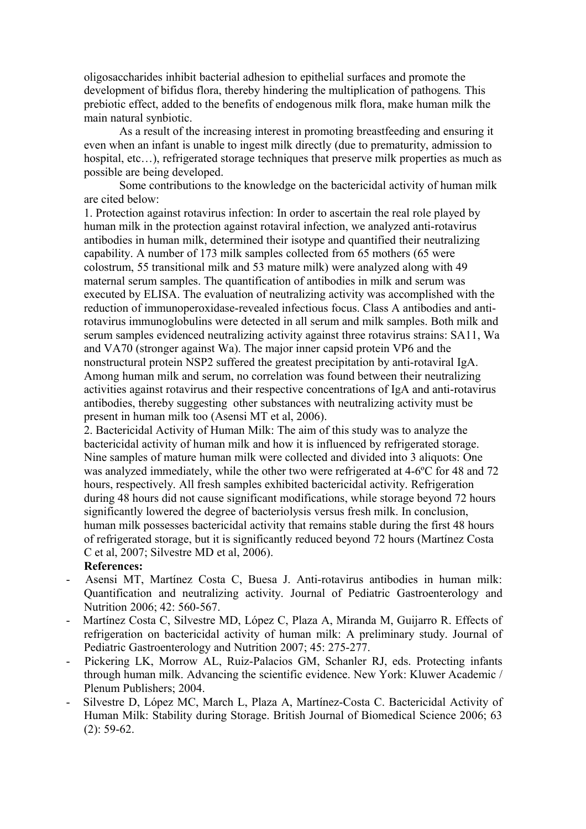oligosaccharides inhibit bacterial adhesion to epithelial surfaces and promote the development of bifidus flora, thereby hindering the multiplication of pathogens*.* This prebiotic effect, added to the benefits of endogenous milk flora, make human milk the main natural synbiotic.

 As a result of the increasing interest in promoting breastfeeding and ensuring it even when an infant is unable to ingest milk directly (due to prematurity, admission to hospital, etc...), refrigerated storage techniques that preserve milk properties as much as possible are being developed.

 Some contributions to the knowledge on the bactericidal activity of human milk are cited below:

1. Protection against rotavirus infection: In order to ascertain the real role played by human milk in the protection against rotaviral infection, we analyzed anti-rotavirus antibodies in human milk, determined their isotype and quantified their neutralizing capability. A number of 173 milk samples collected from 65 mothers (65 were colostrum, 55 transitional milk and 53 mature milk) were analyzed along with 49 maternal serum samples. The quantification of antibodies in milk and serum was executed by ELISA. The evaluation of neutralizing activity was accomplished with the reduction of immunoperoxidase-revealed infectious focus. Class A antibodies and antirotavirus immunoglobulins were detected in all serum and milk samples. Both milk and serum samples evidenced neutralizing activity against three rotavirus strains: SA11, Wa and VA70 (stronger against Wa). The major inner capsid protein VP6 and the nonstructural protein NSP2 suffered the greatest precipitation by anti-rotaviral IgA. Among human milk and serum, no correlation was found between their neutralizing activities against rotavirus and their respective concentrations of IgA and anti-rotavirus antibodies, thereby suggesting other substances with neutralizing activity must be present in human milk too (Asensi MT et al, 2006).

2. Bactericidal Activity of Human Milk: The aim of this study was to analyze the bactericidal activity of human milk and how it is influenced by refrigerated storage. Nine samples of mature human milk were collected and divided into 3 aliquots: One was analyzed immediately, while the other two were refrigerated at 4-6<sup>o</sup>C for 48 and 72 hours, respectively. All fresh samples exhibited bactericidal activity. Refrigeration during 48 hours did not cause significant modifications, while storage beyond 72 hours significantly lowered the degree of bacteriolysis versus fresh milk. In conclusion, human milk possesses bactericidal activity that remains stable during the first 48 hours of refrigerated storage, but it is significantly reduced beyond 72 hours (Martínez Costa C et al, 2007; Silvestre MD et al, 2006).

#### **References:**

- Asensi MT, Martínez Costa C, Buesa J. Anti-rotavirus antibodies in human milk: Quantification and neutralizing activity. Journal of Pediatric Gastroenterology and Nutrition 2006; 42: 560-567.
- Martínez Costa C, Silvestre MD, López C, Plaza A, Miranda M, Guijarro R. Effects of refrigeration on bactericidal activity of human milk: A preliminary study. Journal of Pediatric Gastroenterology and Nutrition 2007; 45: 275-277.
- Pickering LK, Morrow AL, Ruiz-Palacios GM, Schanler RJ, eds. Protecting infants through human milk. Advancing the scientific evidence. New York: Kluwer Academic / Plenum Publishers; 2004.
- Silvestre D, López MC, March L, Plaza A, Martínez-Costa C. Bactericidal Activity of Human Milk: Stability during Storage. British Journal of Biomedical Science 2006; 63 (2): 59-62.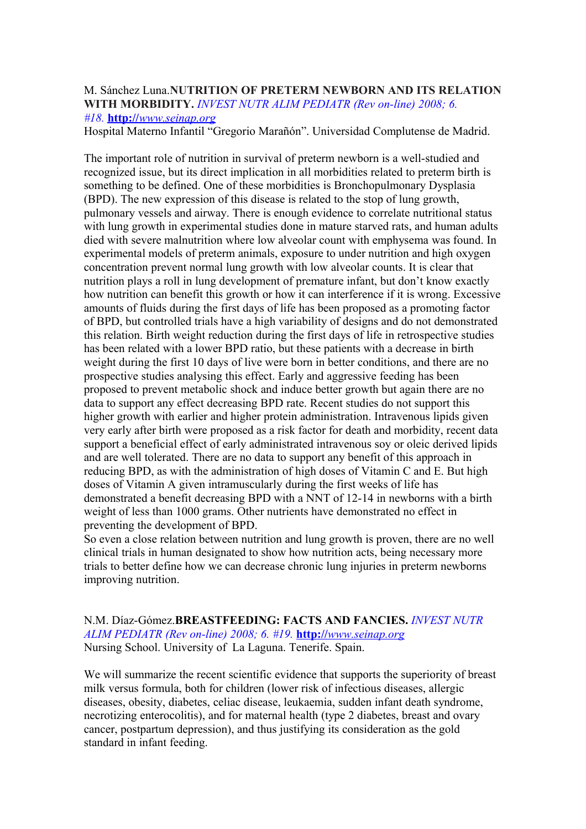#### M. Sánchez Luna.**NUTRITION OF PRETERM NEWBORN AND ITS RELATION WITH MORBIDITY.** *INVEST NUTR ALIM PEDIATR (Rev on-line) 2008; 6. #18.* **http://** *[www.seinap.org](http://www.seinap.org/)*

Hospital Materno Infantil "Gregorio Marañón". Universidad Complutense de Madrid.

The important role of nutrition in survival of preterm newborn is a well-studied and recognized issue, but its direct implication in all morbidities related to preterm birth is something to be defined. One of these morbidities is Bronchopulmonary Dysplasia (BPD). The new expression of this disease is related to the stop of lung growth, pulmonary vessels and airway. There is enough evidence to correlate nutritional status with lung growth in experimental studies done in mature starved rats, and human adults died with severe malnutrition where low alveolar count with emphysema was found. In experimental models of preterm animals, exposure to under nutrition and high oxygen concentration prevent normal lung growth with low alveolar counts. It is clear that nutrition plays a roll in lung development of premature infant, but don't know exactly how nutrition can benefit this growth or how it can interference if it is wrong. Excessive amounts of fluids during the first days of life has been proposed as a promoting factor of BPD, but controlled trials have a high variability of designs and do not demonstrated this relation. Birth weight reduction during the first days of life in retrospective studies has been related with a lower BPD ratio, but these patients with a decrease in birth weight during the first 10 days of live were born in better conditions, and there are no prospective studies analysing this effect. Early and aggressive feeding has been proposed to prevent metabolic shock and induce better growth but again there are no data to support any effect decreasing BPD rate. Recent studies do not support this higher growth with earlier and higher protein administration. Intravenous lipids given very early after birth were proposed as a risk factor for death and morbidity, recent data support a beneficial effect of early administrated intravenous soy or oleic derived lipids and are well tolerated. There are no data to support any benefit of this approach in reducing BPD, as with the administration of high doses of Vitamin C and E. But high doses of Vitamin A given intramuscularly during the first weeks of life has demonstrated a benefit decreasing BPD with a NNT of 12-14 in newborns with a birth weight of less than 1000 grams. Other nutrients have demonstrated no effect in preventing the development of BPD.

So even a close relation between nutrition and lung growth is proven, there are no well clinical trials in human designated to show how nutrition acts, being necessary more trials to better define how we can decrease chronic lung injuries in preterm newborns improving nutrition.

N.M. Díaz-Gómez.**BREASTFEEDING: FACTS AND FANCIES.** *INVEST NUTR ALIM PEDIATR (Rev on-line) 2008; 6. #19.* **http://** *[www.seinap.org](http://www.seinap.org/)* Nursing School. University of La Laguna. Tenerife. Spain.

We will summarize the recent scientific evidence that supports the superiority of breast milk versus formula, both for children (lower risk of infectious diseases, allergic diseases, obesity, diabetes, celiac disease, leukaemia, sudden infant death syndrome, necrotizing enterocolitis), and for maternal health (type 2 diabetes, breast and ovary cancer, postpartum depression), and thus justifying its consideration as the gold standard in infant feeding.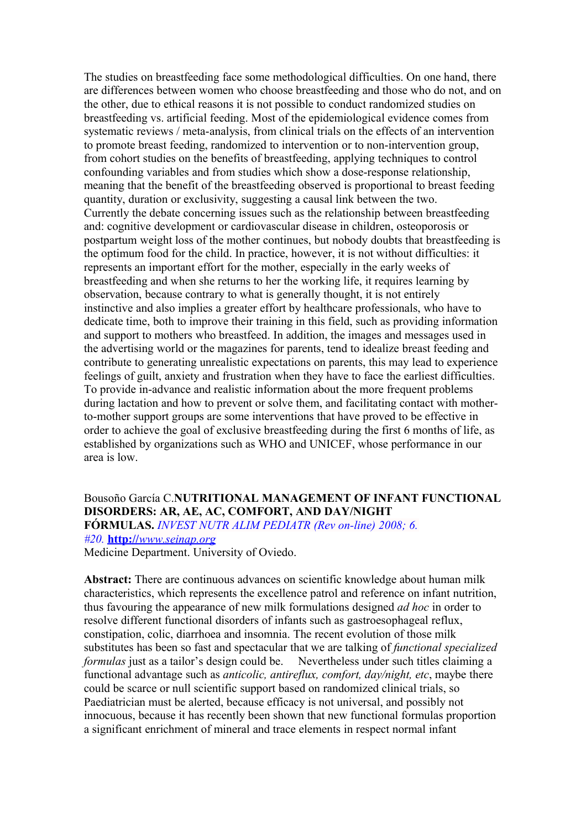The studies on breastfeeding face some methodological difficulties. On one hand, there are differences between women who choose breastfeeding and those who do not, and on the other, due to ethical reasons it is not possible to conduct randomized studies on breastfeeding vs. artificial feeding. Most of the epidemiological evidence comes from systematic reviews / meta-analysis, from clinical trials on the effects of an intervention to promote breast feeding, randomized to intervention or to non-intervention group, from cohort studies on the benefits of breastfeeding, applying techniques to control confounding variables and from studies which show a dose-response relationship, meaning that the benefit of the breastfeeding observed is proportional to breast feeding quantity, duration or exclusivity, suggesting a causal link between the two. Currently the debate concerning issues such as the relationship between breastfeeding and: cognitive development or cardiovascular disease in children, osteoporosis or postpartum weight loss of the mother continues, but nobody doubts that breastfeeding is the optimum food for the child. In practice, however, it is not without difficulties: it represents an important effort for the mother, especially in the early weeks of breastfeeding and when she returns to her the working life, it requires learning by observation, because contrary to what is generally thought, it is not entirely instinctive and also implies a greater effort by healthcare professionals, who have to dedicate time, both to improve their training in this field, such as providing information and support to mothers who breastfeed. In addition, the images and messages used in the advertising world or the magazines for parents, tend to idealize breast feeding and contribute to generating unrealistic expectations on parents, this may lead to experience feelings of guilt, anxiety and frustration when they have to face the earliest difficulties. To provide in-advance and realistic information about the more frequent problems during lactation and how to prevent or solve them, and facilitating contact with motherto-mother support groups are some interventions that have proved to be effective in order to achieve the goal of exclusive breastfeeding during the first 6 months of life, as established by organizations such as WHO and UNICEF, whose performance in our area is low.

# Bousoño García C.**NUTRITIONAL MANAGEMENT OF INFANT FUNCTIONAL DISORDERS: AR, AE, AC, COMFORT, AND DAY/NIGHT**

**FÓRMULAS.** *INVEST NUTR ALIM PEDIATR (Rev on-line) 2008; 6. #20.* **http://** *[www.seinap.org](http://www.seinap.org/)*

Medicine Department. University of Oviedo.

**Abstract:** There are continuous advances on scientific knowledge about human milk characteristics, which represents the excellence patrol and reference on infant nutrition, thus favouring the appearance of new milk formulations designed *ad hoc* in order to resolve different functional disorders of infants such as gastroesophageal reflux, constipation, colic, diarrhoea and insomnia. The recent evolution of those milk substitutes has been so fast and spectacular that we are talking of *functional specialized formulas* just as a tailor's design could be. Nevertheless under such titles claiming a functional advantage such as *anticolic, antireflux, comfort, day/night, etc*, maybe there could be scarce or null scientific support based on randomized clinical trials, so Paediatrician must be alerted, because efficacy is not universal, and possibly not innocuous, because it has recently been shown that new functional formulas proportion a significant enrichment of mineral and trace elements in respect normal infant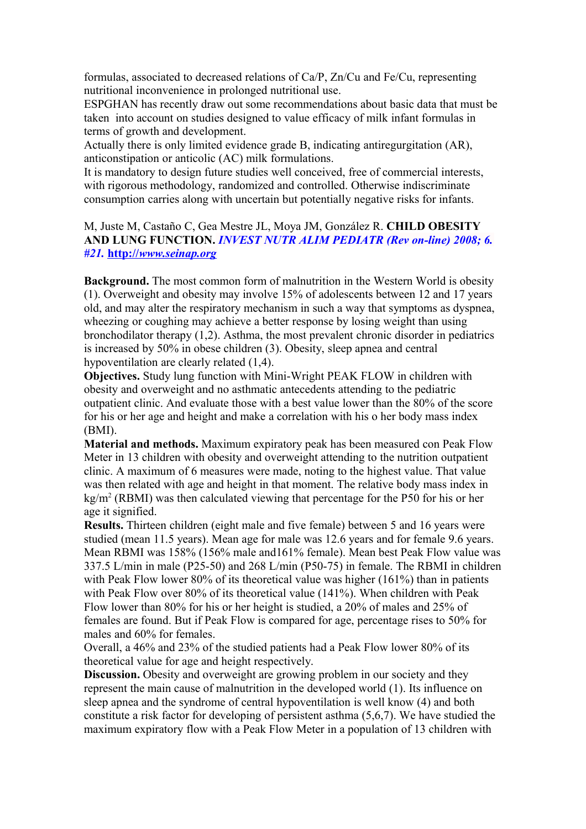formulas, associated to decreased relations of Ca/P, Zn/Cu and Fe/Cu, representing nutritional inconvenience in prolonged nutritional use.

ESPGHAN has recently draw out some recommendations about basic data that must be taken into account on studies designed to value efficacy of milk infant formulas in terms of growth and development.

Actually there is only limited evidence grade B, indicating antiregurgitation (AR), anticonstipation or anticolic (AC) milk formulations.

It is mandatory to design future studies well conceived, free of commercial interests, with rigorous methodology, randomized and controlled. Otherwise indiscriminate consumption carries along with uncertain but potentially negative risks for infants.

M, Juste M, Castaño C, Gea Mestre JL, Moya JM, González R. **CHILD OBESITY AND LUNG FUNCTION.** *INVEST NUTR ALIM PEDIATR (Rev on-line) 2008; 6. #21.* **http://** *[www.seinap.org](http://www.seinap.org/)*

**Background.** The most common form of malnutrition in the Western World is obesity (1). Overweight and obesity may involve 15% of adolescents between 12 and 17 years old, and may alter the respiratory mechanism in such a way that symptoms as dyspnea, wheezing or coughing may achieve a better response by losing weight than using bronchodilator therapy (1,2). Asthma, the most prevalent chronic disorder in pediatrics is increased by 50% in obese children (3). Obesity, sleep apnea and central hypoventilation are clearly related (1,4).

**Objectives.** Study lung function with Mini-Wright PEAK FLOW in children with obesity and overweight and no asthmatic antecedents attending to the pediatric outpatient clinic. And evaluate those with a best value lower than the 80% of the score for his or her age and height and make a correlation with his o her body mass index (BMI).

**Material and methods.** Maximum expiratory peak has been measured con Peak Flow Meter in 13 children with obesity and overweight attending to the nutrition outpatient clinic. A maximum of 6 measures were made, noting to the highest value. That value was then related with age and height in that moment. The relative body mass index in kg/m<sup>2</sup> (RBMI) was then calculated viewing that percentage for the P50 for his or her age it signified.

**Results.** Thirteen children (eight male and five female) between 5 and 16 years were studied (mean 11.5 years). Mean age for male was 12.6 years and for female 9.6 years. Mean RBMI was 158% (156% male and161% female). Mean best Peak Flow value was 337.5 L/min in male (P25-50) and 268 L/min (P50-75) in female. The RBMI in children with Peak Flow lower 80% of its theoretical value was higher (161%) than in patients with Peak Flow over 80% of its theoretical value (141%). When children with Peak Flow lower than 80% for his or her height is studied, a 20% of males and 25% of females are found. But if Peak Flow is compared for age, percentage rises to 50% for males and 60% for females.

Overall, a 46% and 23% of the studied patients had a Peak Flow lower 80% of its theoretical value for age and height respectively.

**Discussion.** Obesity and overweight are growing problem in our society and they represent the main cause of malnutrition in the developed world (1). Its influence on sleep apnea and the syndrome of central hypoventilation is well know (4) and both constitute a risk factor for developing of persistent asthma (5,6,7). We have studied the maximum expiratory flow with a Peak Flow Meter in a population of 13 children with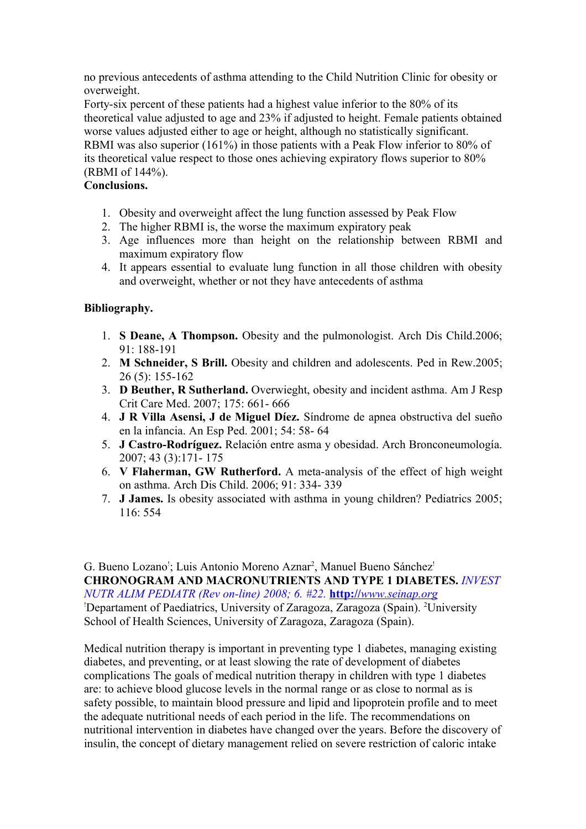no previous antecedents of asthma attending to the Child Nutrition Clinic for obesity or overweight.

Forty-six percent of these patients had a highest value inferior to the 80% of its theoretical value adjusted to age and 23% if adjusted to height. Female patients obtained worse values adjusted either to age or height, although no statistically significant. RBMI was also superior (161%) in those patients with a Peak Flow inferior to 80% of its theoretical value respect to those ones achieving expiratory flows superior to 80% (RBMI of 144%).

# **Conclusions.**

- 1. Obesity and overweight affect the lung function assessed by Peak Flow
- 2. The higher RBMI is, the worse the maximum expiratory peak
- 3. Age influences more than height on the relationship between RBMI and maximum expiratory flow
- 4. It appears essential to evaluate lung function in all those children with obesity and overweight, whether or not they have antecedents of asthma

## **Bibliography.**

- 1. **S Deane, A Thompson.** Obesity and the pulmonologist. Arch Dis Child.2006; 91: 188-191
- 2. **M Schneider, S Brill.** Obesity and children and adolescents. Ped in Rew.2005; 26 (5): 155-162
- 3. **D Beuther, R Sutherland.** Overwieght, obesity and incident asthma. Am J Resp Crit Care Med. 2007; 175: 661- 666
- 4. **J R Villa Asensi, J de Miguel Díez.** Síndrome de apnea obstructiva del sueño en la infancia. An Esp Ped. 2001; 54: 58- 64
- 5. **J Castro-Rodríguez.** Relación entre asma y obesidad. Arch Bronconeumología. 2007; 43 (3):171- 175
- 6. **V Flaherman, GW Rutherford.** A meta-analysis of the effect of high weight on asthma. Arch Dis Child. 2006; 91: 334- 339
- 7. **J James.** Is obesity associated with asthma in young children? Pediatrics 2005; 116: 554

G. Bueno Lozano<sup>!</sup>; Luis Antonio Moreno Aznar<sup>2</sup>, Manuel Bueno Sánchez<sup>!</sup> **CHRONOGRAM AND MACRONUTRIENTS AND TYPE 1 DIABETES.** *INVEST NUTR ALIM PEDIATR (Rev on-line) 2008; 6. #22.* **http://** *[www.seinap.org](http://www.seinap.org/)* <sup>1</sup>Departament of Paediatrics, University of Zaragoza, Zaragoza (Spain). <sup>2</sup>University School of Health Sciences, University of Zaragoza, Zaragoza (Spain).

Medical nutrition therapy is important in preventing type 1 diabetes, managing existing diabetes, and preventing, or at least slowing the rate of development of diabetes complications The goals of medical nutrition therapy in children with type 1 diabetes are: to achieve blood glucose levels in the normal range or as close to normal as is safety possible, to maintain blood pressure and lipid and lipoprotein profile and to meet the adequate nutritional needs of each period in the life. The recommendations on nutritional intervention in diabetes have changed over the years. Before the discovery of insulin, the concept of dietary management relied on severe restriction of caloric intake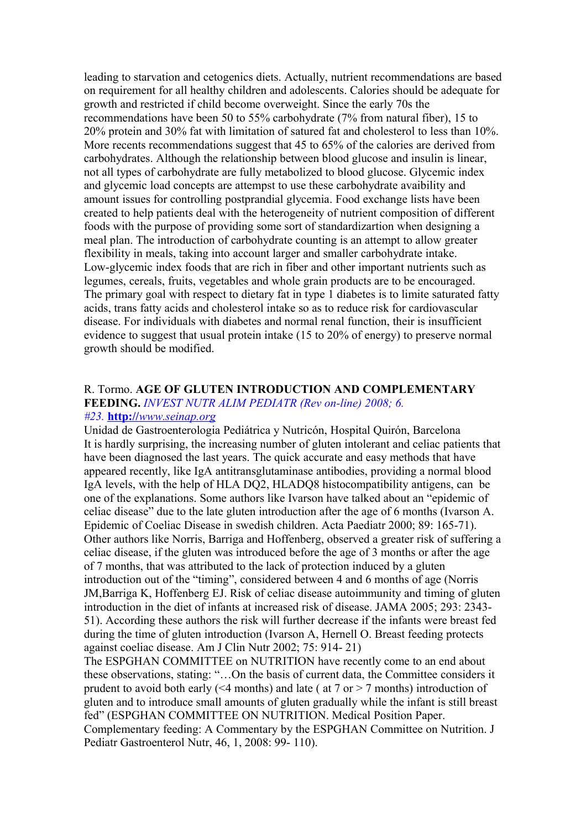leading to starvation and cetogenics diets. Actually, nutrient recommendations are based on requirement for all healthy children and adolescents. Calories should be adequate for growth and restricted if child become overweight. Since the early 70s the recommendations have been 50 to 55% carbohydrate (7% from natural fiber), 15 to 20% protein and 30% fat with limitation of satured fat and cholesterol to less than 10%. More recents recommendations suggest that 45 to 65% of the calories are derived from carbohydrates. Although the relationship between blood glucose and insulin is linear, not all types of carbohydrate are fully metabolized to blood glucose. Glycemic index and glycemic load concepts are attempst to use these carbohydrate avaibility and amount issues for controlling postprandial glycemia. Food exchange lists have been created to help patients deal with the heterogeneity of nutrient composition of different foods with the purpose of providing some sort of standardizartion when designing a meal plan. The introduction of carbohydrate counting is an attempt to allow greater flexibility in meals, taking into account larger and smaller carbohydrate intake. Low-glycemic index foods that are rich in fiber and other important nutrients such as legumes, cereals, fruits, vegetables and whole grain products are to be encouraged. The primary goal with respect to dietary fat in type 1 diabetes is to limite saturated fatty acids, trans fatty acids and cholesterol intake so as to reduce risk for cardiovascular disease. For individuals with diabetes and normal renal function, their is insufficient evidence to suggest that usual protein intake (15 to 20% of energy) to preserve normal growth should be modified.

#### R. Tormo. **AGE OF GLUTEN INTRODUCTION AND COMPLEMENTARY FEEDING.** *INVEST NUTR ALIM PEDIATR (Rev on-line) 2008; 6. #23.* **http://** *[www.seinap.org](http://www.seinap.org/)*

Unidad de Gastroenterologia Pediátrica y Nutricón, Hospital Quirón, Barcelona It is hardly surprising, the increasing number of gluten intolerant and celiac patients that have been diagnosed the last years. The quick accurate and easy methods that have appeared recently, like IgA antitransglutaminase antibodies, providing a normal blood IgA levels, with the help of HLA DQ2, HLADQ8 histocompatibility antigens, can be one of the explanations. Some authors like Ivarson have talked about an "epidemic of celiac disease" due to the late gluten introduction after the age of 6 months (Ivarson A. Epidemic of Coeliac Disease in swedish children. Acta Paediatr 2000; 89: 165-71). Other authors like Norris, Barriga and Hoffenberg, observed a greater risk of suffering a celiac disease, if the gluten was introduced before the age of 3 months or after the age of 7 months, that was attributed to the lack of protection induced by a gluten introduction out of the "timing", considered between 4 and 6 months of age (Norris JM,Barriga K, Hoffenberg EJ. Risk of celiac disease autoimmunity and timing of gluten introduction in the diet of infants at increased risk of disease. JAMA 2005; 293: 2343- 51). According these authors the risk will further decrease if the infants were breast fed during the time of gluten introduction (Ivarson A, Hernell O. Breast feeding protects against coeliac disease. Am J Clin Nutr 2002; 75: 914- 21)

The ESPGHAN COMMITTEE on NUTRITION have recently come to an end about these observations, stating: "…On the basis of current data, the Committee considers it prudent to avoid both early ( $\leq 4$  months) and late (at 7 or  $> 7$  months) introduction of gluten and to introduce small amounts of gluten gradually while the infant is still breast fed" (ESPGHAN COMMITTEE ON NUTRITION. Medical Position Paper. Complementary feeding: A Commentary by the ESPGHAN Committee on Nutrition. J Pediatr Gastroenterol Nutr, 46, 1, 2008: 99- 110).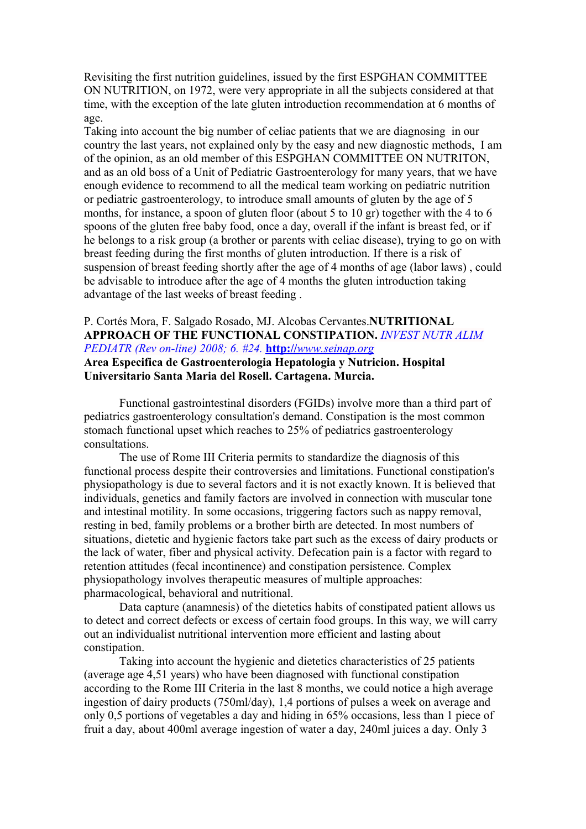Revisiting the first nutrition guidelines, issued by the first ESPGHAN COMMITTEE ON NUTRITION, on 1972, were very appropriate in all the subjects considered at that time, with the exception of the late gluten introduction recommendation at 6 months of age.

Taking into account the big number of celiac patients that we are diagnosing in our country the last years, not explained only by the easy and new diagnostic methods, I am of the opinion, as an old member of this ESPGHAN COMMITTEE ON NUTRITON, and as an old boss of a Unit of Pediatric Gastroenterology for many years, that we have enough evidence to recommend to all the medical team working on pediatric nutrition or pediatric gastroenterology, to introduce small amounts of gluten by the age of 5 months, for instance, a spoon of gluten floor (about 5 to 10 gr) together with the 4 to 6 spoons of the gluten free baby food, once a day, overall if the infant is breast fed, or if he belongs to a risk group (a brother or parents with celiac disease), trying to go on with breast feeding during the first months of gluten introduction. If there is a risk of suspension of breast feeding shortly after the age of 4 months of age (labor laws) , could be advisable to introduce after the age of 4 months the gluten introduction taking advantage of the last weeks of breast feeding .

# P. Cortés Mora, F. Salgado Rosado, MJ. Alcobas Cervantes.**NUTRITIONAL APPROACH OF THE FUNCTIONAL CONSTIPATION.** *INVEST NUTR ALIM PEDIATR (Rev on-line) 2008; 6. #24.* **http://** *[www.seinap.org](http://www.seinap.org/)*

#### **Area Especifica de Gastroenterologia Hepatologia y Nutricion. Hospital Universitario Santa Maria del Rosell. Cartagena. Murcia.**

Functional gastrointestinal disorders (FGIDs) involve more than a third part of pediatrics gastroenterology consultation's demand. Constipation is the most common stomach functional upset which reaches to 25% of pediatrics gastroenterology consultations.

The use of Rome III Criteria permits to standardize the diagnosis of this functional process despite their controversies and limitations. Functional constipation's physiopathology is due to several factors and it is not exactly known. It is believed that individuals, genetics and family factors are involved in connection with muscular tone and intestinal motility. In some occasions, triggering factors such as nappy removal, resting in bed, family problems or a brother birth are detected. In most numbers of situations, dietetic and hygienic factors take part such as the excess of dairy products or the lack of water, fiber and physical activity. Defecation pain is a factor with regard to retention attitudes (fecal incontinence) and constipation persistence. Complex physiopathology involves therapeutic measures of multiple approaches: pharmacological, behavioral and nutritional.

Data capture (anamnesis) of the dietetics habits of constipated patient allows us to detect and correct defects or excess of certain food groups. In this way, we will carry out an individualist nutritional intervention more efficient and lasting about constipation.

Taking into account the hygienic and dietetics characteristics of 25 patients (average age 4,51 years) who have been diagnosed with functional constipation according to the Rome III Criteria in the last 8 months, we could notice a high average ingestion of dairy products (750ml/day), 1,4 portions of pulses a week on average and only 0,5 portions of vegetables a day and hiding in 65% occasions, less than 1 piece of fruit a day, about 400ml average ingestion of water a day, 240ml juices a day. Only 3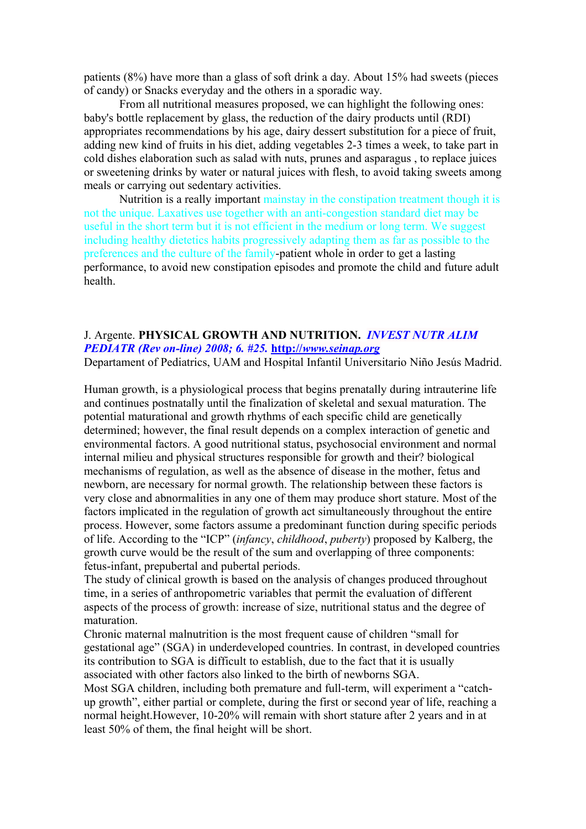patients (8%) have more than a glass of soft drink a day. About 15% had sweets (pieces of candy) or Snacks everyday and the others in a sporadic way.

From all nutritional measures proposed, we can highlight the following ones: baby's bottle replacement by glass, the reduction of the dairy products until (RDI) appropriates recommendations by his age, dairy dessert substitution for a piece of fruit, adding new kind of fruits in his diet, adding vegetables 2-3 times a week, to take part in cold dishes elaboration such as salad with nuts, prunes and asparagus , to replace juices or sweetening drinks by water or natural juices with flesh, to avoid taking sweets among meals or carrying out sedentary activities.

Nutrition is a really important mainstay in the constipation treatment though it is not the unique. Laxatives use together with an anti-congestion standard diet may be useful in the short term but it is not efficient in the medium or long term. We suggest including healthy dietetics habits progressively adapting them as far as possible to the preferences and the culture of the family-patient whole in order to get a lasting performance, to avoid new constipation episodes and promote the child and future adult health.

# J. Argente. **PHYSICAL GROWTH AND NUTRITION.** *INVEST NUTR ALIM PEDIATR (Rev on-line) 2008; 6. #25.* **http://** *[www.seinap.org](http://www.seinap.org/)*

Departament of Pediatrics, UAM and Hospital Infantil Universitario Niño Jesús Madrid.

Human growth, is a physiological process that begins prenatally during intrauterine life and continues postnatally until the finalization of skeletal and sexual maturation. The potential maturational and growth rhythms of each specific child are genetically determined; however, the final result depends on a complex interaction of genetic and environmental factors. A good nutritional status, psychosocial environment and normal internal milieu and physical structures responsible for growth and their? biological mechanisms of regulation, as well as the absence of disease in the mother, fetus and newborn, are necessary for normal growth. The relationship between these factors is very close and abnormalities in any one of them may produce short stature. Most of the factors implicated in the regulation of growth act simultaneously throughout the entire process. However, some factors assume a predominant function during specific periods of life. According to the "ICP" (*infancy*, *childhood*, *puberty*) proposed by Kalberg, the growth curve would be the result of the sum and overlapping of three components: fetus-infant, prepubertal and pubertal periods.

The study of clinical growth is based on the analysis of changes produced throughout time, in a series of anthropometric variables that permit the evaluation of different aspects of the process of growth: increase of size, nutritional status and the degree of maturation.

Chronic maternal malnutrition is the most frequent cause of children "small for gestational age" (SGA) in underdeveloped countries. In contrast, in developed countries its contribution to SGA is difficult to establish, due to the fact that it is usually associated with other factors also linked to the birth of newborns SGA.

Most SGA children, including both premature and full-term, will experiment a "catchup growth", either partial or complete, during the first or second year of life, reaching a normal height.However, 10-20% will remain with short stature after 2 years and in at least 50% of them, the final height will be short.